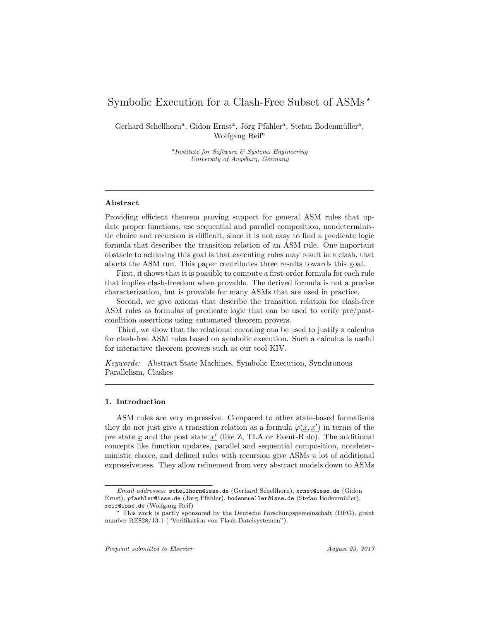# Symbolic Execution for a Clash-Free Subset of ASMs ?

Gerhard Schellhorn<sup>a</sup>, Gidon Ernst<sup>a</sup>, Jörg Pfähler<sup>a</sup>, Stefan Bodenmüller<sup>a</sup>, Wolfgang Reif<sup>a</sup>

> a Institute for Software & Systems Engineering University of Augsburg, Germany

# Abstract

Providing efficient theorem proving support for general ASM rules that update proper functions, use sequential and parallel composition, nondeterministic choice and recursion is difficult, since it is not easy to find a predicate logic formula that describes the transition relation of an ASM rule. One important obstacle to achieving this goal is that executing rules may result in a clash, that aborts the ASM run. This paper contributes three results towards this goal.

First, it shows that it is possible to compute a first-order formula for each rule that implies clash-freedom when provable. The derived formula is not a precise characterization, but is provable for many ASMs that are used in practice.

Second, we give axioms that describe the transition relation for clash-free ASM rules as formulas of predicate logic that can be used to verify pre/postcondition assertions using automated theorem provers.

Third, we show that the relational encoding can be used to justify a calculus for clash-free ASM rules based on symbolic execution. Such a calculus is useful for interactive theorem provers such as our tool KIV.

Keywords: Abstract State Machines, Symbolic Execution, Synchronous Parallelism, Clashes

# 1. Introduction

ASM rules are very expressive. Compared to other state-based formalisms they do not just give a transition relation as a formula  $\varphi(\underline{x}, \underline{x}')$  in terms of the pre state  $\underline{x}$  and the post state  $\underline{x}'$  (like Z, TLA or Event-B do). The additional concepts like function updates, parallel and sequential composition, nondeterministic choice, and defined rules with recursion give ASMs a lot of additional expressiveness. They allow refinement from very abstract models down to ASMs

Email addresses: schellhorn@isse.de (Gerhard Schellhorn), ernst@isse.de (Gidon Ernst), pfaehler@isse.de (Jörg Pfähler), bodenmueller@isse.de (Stefan Bodenmüller), reif@isse.de (Wolfgang Reif)

<sup>?</sup> This work is partly sponsored by the Deutsche Forschungsgemeinschaft (DFG), grant number RE828/13-1 ("Verifikation von Flash-Dateisystemen").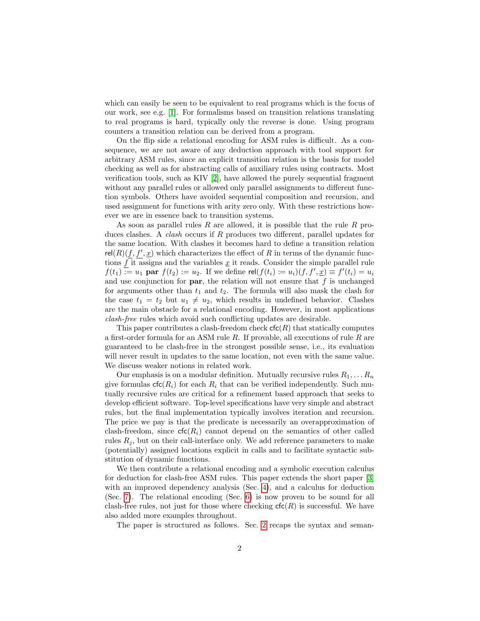which can easily be seen to be equivalent to real programs which is the focus of our work, see e.g. [\[1\]](#page-31-0). For formalisms based on transition relations translating to real programs is hard, typically only the reverse is done. Using program counters a transition relation can be derived from a program.

On the flip side a relational encoding for ASM rules is difficult. As a consequence, we are not aware of any deduction approach with tool support for arbitrary ASM rules, since an explicit transition relation is the basis for model checking as well as for abstracting calls of auxiliary rules using contracts. Most verification tools, such as KIV [\[2\]](#page-31-1), have allowed the purely sequential fragment without any parallel rules or allowed only parallel assignments to different function symbols. Others have avoided sequential composition and recursion, and used assignment for functions with arity zero only. With these restrictions however we are in essence back to transition systems.

As soon as parallel rules R are allowed, it is possible that the rule R produces clashes. A *clash* occurs if R produces two different, parallel updates for the same location. With clashes it becomes hard to define a transition relation  $rel(R)(f, f', \underline{x})$  which characterizes the effect of R in terms of the dynamic functions  $f$  it assigns and the variables  $\underline{x}$  it reads. Consider the simple parallel rule  $f(t_1) := u_1$  par  $f(t_2) := u_2$ . If we define rel $(f(t_i) := u_i)(f, f', \underline{x}) \equiv f'(t_i) = u_i$ and use conjunction for **par**, the relation will not ensure that  $f$  is unchanged for arguments other than  $t_1$  and  $t_2$ . The formula will also mask the clash for the case  $t_1 = t_2$  but  $u_1 \neq u_2$ , which results in undefined behavior. Clashes are the main obstacle for a relational encoding. However, in most applications clash-free rules which avoid such conflicting updates are desirable.

This paper contributes a clash-freedom check  $\mathsf{cfc}(R)$  that statically computes a first-order formula for an ASM rule  $R$ . If provable, all executions of rule  $R$  are guaranteed to be clash-free in the strongest possible sense, i.e., its evaluation will never result in updates to the same location, not even with the same value. We discuss weaker notions in related work.

Our emphasis is on a modular definition. Mutually recursive rules  $R_1, \ldots, R_n$ give formulas  $\mathsf{cfc}(R_i)$  for each  $R_i$  that can be verified independently. Such mutually recursive rules are critical for a refinement based approach that seeks to develop efficient software. Top-level specifications have very simple and abstract rules, but the final implementation typically involves iteration and recursion. The price we pay is that the predicate is necessarily an overapproximation of clash-freedom, since  $\mathsf{cfc}(R_i)$  cannot depend on the semantics of other called rules  $R_i$ , but on their call-interface only. We add reference parameters to make (potentially) assigned locations explicit in calls and to facilitate syntactic substitution of dynamic functions.

We then contribute a relational encoding and a symbolic execution calculus for deduction for clash-free ASM rules. This paper extends the short paper [\[3\]](#page-31-2) with an improved dependency analysis (Sec. [4\)](#page-11-0), and a calculus for deduction (Sec. [7\)](#page-25-0). The relational encoding (Sec. [6\)](#page-19-0) is now proven to be sound for all clash-free rules, not just for those where checking  $\mathsf{ct}(R)$  is successful. We have also added more examples throughout.

The paper is structured as follows. Sec. [2](#page-2-0) recaps the syntax and seman-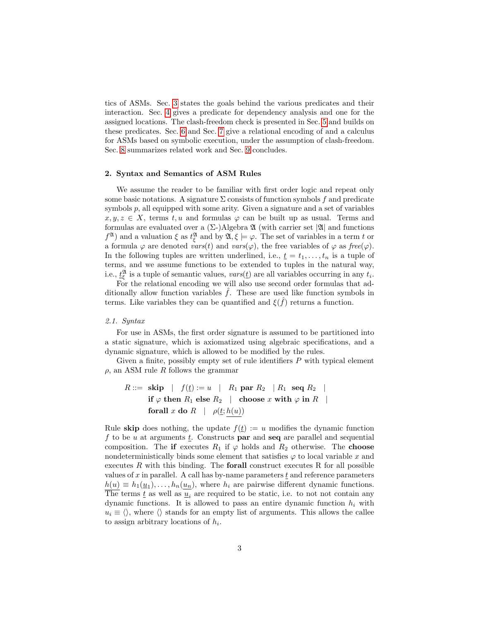tics of ASMs. Sec. [3](#page-8-0) states the goals behind the various predicates and their interaction. Sec. [4](#page-11-0) gives a predicate for dependency analysis and one for the assigned locations. The clash-freedom check is presented in Sec. [5](#page-16-0) and builds on these predicates. Sec. [6](#page-19-0) and Sec. [7](#page-25-0) give a relational encoding of and a calculus for ASMs based on symbolic execution, under the assumption of clash-freedom. Sec. [8](#page-27-0) summarizes related work and Sec. [9](#page-30-0) concludes.

#### <span id="page-2-0"></span>2. Syntax and Semantics of ASM Rules

We assume the reader to be familiar with first order logic and repeat only some basic notations. A signature  $\Sigma$  consists of function symbols f and predicate symbols  $p$ , all equipped with some arity. Given a signature and a set of variables  $x, y, z \in X$ , terms t, u and formulas  $\varphi$  can be built up as usual. Terms and formulas are evaluated over a  $(\Sigma)$ Algebra  $\mathfrak A$  (with carrier set  $|\mathfrak A|$  and functions  $f^{\mathfrak{A}}$ ) and a valuation  $\xi$  as  $t_{\xi}^{\mathfrak{A}}$  and by  $\mathfrak{A}, \xi \models \varphi$ . The set of variables in a term t or a formula  $\varphi$  are denoted vars(t) and vars( $\varphi$ ), the free variables of  $\varphi$  as free( $\varphi$ ). In the following tuples are written underlined, i.e.,  $\underline{t} = t_1, \ldots, t_n$  is a tuple of terms, and we assume functions to be extended to tuples in the natural way, i.e.,  $\underline{t}_{\xi}^{\mathfrak{A}}$  is a tuple of semantic values,  $vars(\underline{t})$  are all variables occurring in any  $t_i$ .

For the relational encoding we will also use second order formulas that additionally allow function variables  $\hat{f}$ . These are used like function symbols in terms. Like variables they can be quantified and  $\xi(\hat{f})$  returns a function.

## 2.1. Syntax

For use in ASMs, the first order signature is assumed to be partitioned into a static signature, which is axiomatized using algebraic specifications, and a dynamic signature, which is allowed to be modified by the rules.

Given a finite, possibly empty set of rule identifiers  $P$  with typical element  $\rho$ , an ASM rule R follows the grammar

$$
R ::= \textbf{skip} \mid f(\underline{t}) := u \mid R_1 \textbf{ par } R_2 \mid R_1 \textbf{ seq } R_2 \mid
$$
  
\nif  $\varphi$  then  $R_1$  else  $R_2 \mid$  choose  $x$  with  $\varphi$  in  $R \mid$   
\nfor all  $x$  do  $R \mid \rho(\underline{t}; h(u))$ 

Rule **skip** does nothing, the update  $f(t) := u$  modifies the dynamic function f to be u at arguments  $t$ . Constructs **par** and **seq** are parallel and sequential composition. The if executes  $R_1$  if  $\varphi$  holds and  $R_2$  otherwise. The choose nondeterministically binds some element that satisfies  $\varphi$  to local variable x and executes  $R$  with this binding. The **forall** construct executes  $R$  for all possible values of  $x$  in parallel. A call has by-name parameters  $\underline{t}$  and reference parameters  $h(u) \equiv h_1(\underline{u}_1), \ldots, h_n(\underline{u}_n)$ , where  $h_i$  are pairwise different dynamic functions. The terms  $\underline{t}$  as well as  $\underline{u}_i$  are required to be static, i.e. to not not contain any dynamic functions. It is allowed to pass an entire dynamic function  $h_i$  with  $u_i \equiv \langle \rangle$ , where  $\langle \rangle$  stands for an empty list of arguments. This allows the callee to assign arbitrary locations of  $h_i$ .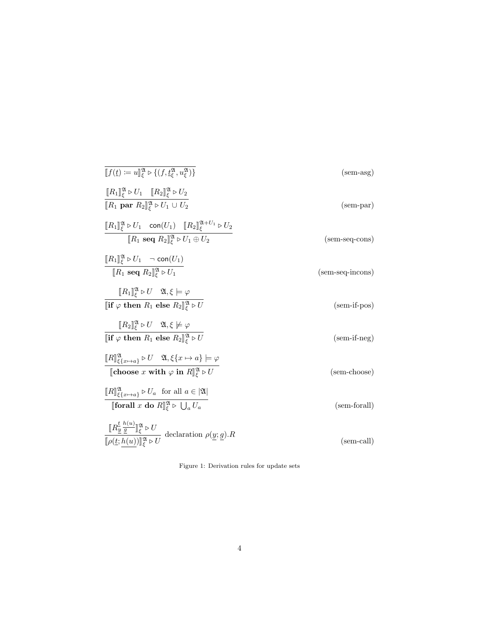<span id="page-3-5"></span><span id="page-3-2"></span><span id="page-3-1"></span>

| $\llbracket f(t) \coloneqq u \rrbracket_{\varepsilon}^{\mathfrak{A}} \triangleright \{(f, t_{\varepsilon}^{\mathfrak{A}}, u_{\varepsilon}^{\mathfrak{A}})\}\$                                                                                                                                    | $(\text{sem-asg})$  |
|--------------------------------------------------------------------------------------------------------------------------------------------------------------------------------------------------------------------------------------------------------------------------------------------------|---------------------|
| $\llbracket R_1 \rrbracket_{\xi}^{\mathfrak{A}} \triangleright U_1 \quad \llbracket R_2 \rrbracket_{\xi}^{\mathfrak{A}} \triangleright U_2$<br>$[ R_1 \text{ par } R_2 ]^{\mathfrak{A}}_{\varepsilon} \triangleright U_1 \cup U_2$                                                               | $(\text{sem-par})$  |
| $\llbracket R_1 \rrbracket_{\varepsilon}^{\mathfrak{A}} \triangleright U_1 \quad \text{con}(U_1) \quad \llbracket R_2 \rrbracket_{\varepsilon}^{\mathfrak{A}+U_1} \triangleright U_2$<br>$\llbracket R_1 \text{ seq } R_2 \rrbracket_{\varepsilon}^{\mathfrak{A}} \triangleright U_1 \oplus U_2$ | $(sem-seq-cons)$    |
| $[[R_1]]_{\varepsilon}^{\mathfrak{A}} \triangleright U_1 \neg \text{con}(U_1)$<br>$\llbracket R_1 \text{ seq } R_2 \rrbracket_{\varepsilon}^{\mathfrak{A}} \triangleright U_1$                                                                                                                   | (sem-seq-incons)    |
| $\llbracket R_1 \rrbracket_{\varepsilon}^{\mathfrak{A}} \triangleright U \quad \mathfrak{A}, \xi \models \varphi$<br>[if $\varphi$ then $R_1$ else $R_2$ ] $_{\varepsilon}^{\mathfrak{A}} \triangleright U$                                                                                      | $(sem-if-pos)$      |
| $\llbracket R_2 \rrbracket_{\varepsilon}^{\mathfrak{A}} \triangleright U \quad \mathfrak{A}, \xi \not\models \varphi$<br>[if $\varphi$ then $R_1$ else $R_2$ ] $^{\mathfrak{A}}_{\xi} \triangleright U$                                                                                          | $(sem-if-neg)$      |
| $\llbracket R \rrbracket_{\xi \{x \mapsto a\}}^{\mathfrak{A}} \triangleright U \quad \mathfrak{A}, \xi \{x \mapsto a\} \models \varphi$<br>[choose x with $\varphi$ in $R_{\ell}^{\mathfrak{A}} \triangleright U$                                                                                | (sem-choose)        |
| $\llbracket R \rrbracket_{\xi\{x \mapsto a\}}^{\mathfrak{A}} \triangleright U_a$ for all $a \in  \mathfrak{A} $<br><b>[forall</b> x do $R\mathbb{R}^{\mathfrak{A}} \triangleright \bigcup_{a} U_a$                                                                                               | (sem-forall)        |
| $\frac{[\![R_{\underline{y}}\frac{\hbar\, (u)}{\underline{g}}]\!]_{\xi}^{\mathfrak{A}} \triangleright U}{[\![\rho(\underline{t};h(u))]\!]_{\xi}^{\mathfrak{A}} \triangleright U} \text{ declaration } \rho(\underline{y};\underline{g}).R$                                                       | $(\text{sem-call})$ |

<span id="page-3-6"></span><span id="page-3-4"></span><span id="page-3-3"></span><span id="page-3-0"></span>Figure 1: Derivation rules for update sets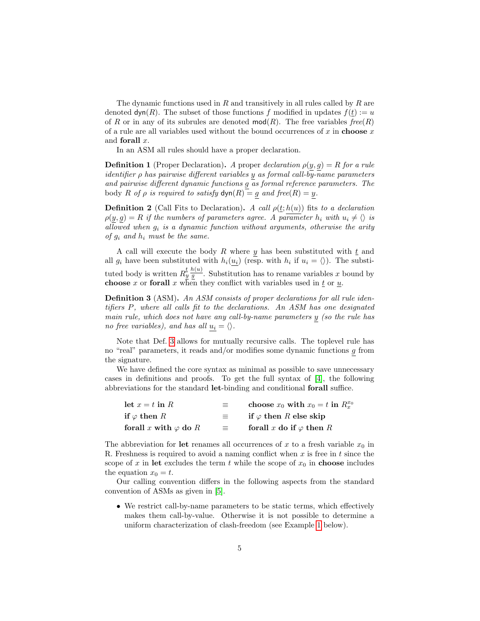The dynamic functions used in  $R$  and transitively in all rules called by  $R$  are denoted  $\textsf{dyn}(R)$ . The subset of those functions f modified in updates  $f(t) := u$ of R or in any of its subrules are denoted  $mod(R)$ . The free variables  $free(R)$ of a rule are all variables used without the bound occurrences of x in choose x and forall x.

In an ASM all rules should have a proper declaration.

**Definition 1** (Proper Declaration). A proper declaration  $\rho(y, g) = R$  for a rule identifier ρ has pairwise different variables y as formal call-by-name parameters and pairwise different dynamic functions g as formal reference parameters. The body R of  $\rho$  is required to satisfy  $\textsf{dyn}(R) = g$  and  $\textit{free}(R) = y$ .

**Definition 2** (Call Fits to Declaration). A call  $\rho(t; h(u))$  fits to a declaration  $\rho(y, g) = R$  if the numbers of parameters agree. A parameter  $h_i$  with  $u_i \neq \emptyset$  is allowed when  $g_i$  is a dynamic function without arguments, otherwise the arity of  $g_i$  and  $h_i$  must be the same.

A call will execute the body R where y has been substituted with  $\underline{t}$  and all  $g_i$  have been substituted with  $h_i(u_i)$  (resp. with  $h_i$  if  $u_i = \langle \rangle$ ). The substituted body is written  $R_y^{\underline{t}} \frac{h(u)}{g}$ . Substitution has to rename variables x bound by **choose** x or **forall** x when they conflict with variables used in  $\underline{t}$  or  $\underline{u}$ .

<span id="page-4-0"></span>Definition 3 (ASM). An ASM consists of proper declarations for all rule identifiers P, where all calls fit to the declarations. An ASM has one designated main rule, which does not have any call-by-name parameters y (so the rule has no free variables), and has all  $u_i = \langle \rangle$ .

Note that Def. [3](#page-4-0) allows for mutually recursive calls. The toplevel rule has no "real" parameters, it reads and/or modifies some dynamic functions g from the signature.

We have defined the core syntax as minimal as possible to save unnecessary cases in definitions and proofs. To get the full syntax of [\[4\]](#page-32-0), the following abbreviations for the standard let-binding and conditional forall suffice.

| let $x = t$ in R             | $\equiv$ | choose $x_0$ with $x_0 = t$ in $R_x^{x_0}$ |
|------------------------------|----------|--------------------------------------------|
| if $\varphi$ then $R$        | 三        | if $\varphi$ then R else skip              |
| forall x with $\varphi$ do R | $=$      | forall x do if $\varphi$ then R            |

The abbreviation for let renames all occurrences of x to a fresh variable  $x_0$  in R. Freshness is required to avoid a naming conflict when  $x$  is free in  $t$  since the scope of x in let excludes the term t while the scope of  $x_0$  in choose includes the equation  $x_0 = t$ .

Our calling convention differs in the following aspects from the standard convention of ASMs as given in [\[5\]](#page-32-1).

• We restrict call-by-name parameters to be static terms, which effectively makes them call-by-value. Otherwise it is not possible to determine a uniform characterization of clash-freedom (see Example [1](#page-7-0) below).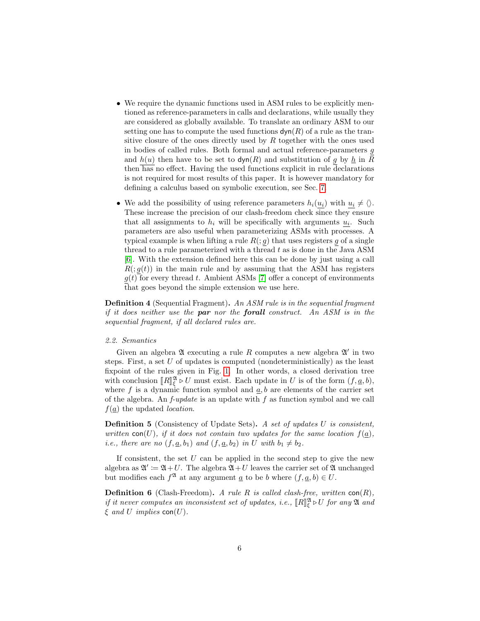- We require the dynamic functions used in ASM rules to be explicitly mentioned as reference-parameters in calls and declarations, while usually they are considered as globally available. To translate an ordinary ASM to our setting one has to compute the used functions  $\mathsf{dyn}(R)$  of a rule as the transitive closure of the ones directly used by  $R$  together with the ones used in bodies of called rules. Both formal and actual reference-parameters g and  $h(u)$  then have to be set to  $\text{dyn}(R)$  and substitution of g by  $\underline{h}$  in  $\overline{R}$ then has no effect. Having the used functions explicit in rule declarations is not required for most results of this paper. It is however mandatory for defining a calculus based on symbolic execution, see Sec. [7.](#page-25-0)
- We add the possibility of using reference parameters  $h_i(u_i)$  with  $u_i \neq \langle \rangle$ . These increase the precision of our clash-freedom check since they ensure that all assignments to  $h_i$  will be specifically with arguments  $u_i$ . Such parameters are also useful when parameterizing ASMs with processes. A typical example is when lifting a rule  $R( ; g)$  that uses registers g of a single thread to a rule parameterized with a thread  $t$  as is done in the Java ASM [\[6\]](#page-32-2). With the extension defined here this can be done by just using a call  $R($ ;  $q(t)$ ) in the main rule and by assuming that the ASM has registers  $g(t)$  for every thread t. Ambient ASMs [\[7\]](#page-32-3) offer a concept of environments that goes beyond the simple extension we use here.

Definition 4 (Sequential Fragment). An ASM rule is in the sequential fragment if it does neither use the **par** nor the **forall** construct. An ASM is in the sequential fragment, if all declared rules are.

#### 2.2. Semantics

Given an algebra  $\mathfrak A$  executing a rule R computes a new algebra  $\mathfrak A'$  in two steps. First, a set  $U$  of updates is computed (nondeterministically) as the least fixpoint of the rules given in Fig. [1.](#page-3-0) In other words, a closed derivation tree with conclusion  $[[R]]_2^{\mathfrak{A}} \triangleright U$  must exist. Each update in U is of the form  $(f, \underline{a}, b)$ ,<br>where f is a dynamic function symbol and a b are elements of the carrier set where f is a dynamic function symbol and  $a, b$  are elements of the carrier set of the algebra. An  $f$ -update is an update with f as function symbol and we call  $f(\underline{a})$  the updated *location*.

Definition 5 (Consistency of Update Sets). A set of updates U is consistent, written con(U), if it does not contain two updates for the same location  $f(\underline{a})$ , *i.e.*, there are no  $(f, \underline{a}, b_1)$  and  $(f, \underline{a}, b_2)$  in U with  $b_1 \neq b_2$ .

If consistent, the set  $U$  can be applied in the second step to give the new algebra as  $\mathfrak{A}' := \mathfrak{A} + U$ . The algebra  $\mathfrak{A} + U$  leaves the carrier set of  $\mathfrak A$  unchanged but modifies each  $f^{\mathfrak{A}}$  at any argument  $\underline{a}$  to be b where  $(f, \underline{a}, b) \in U$ .

**Definition 6** (Clash-Freedom). A rule R is called clash-free, written  $con(R)$ , if it never computes an inconsistent set of updates, i.e.,  $\llbracket R \rrbracket_{\xi}^{\mathfrak{A}} \triangleright U$  for any  $\mathfrak{A}$  and  $\xi$  and  $U$  implies  $\mathsf{con}(U)$  $\xi$  and U implies con(U).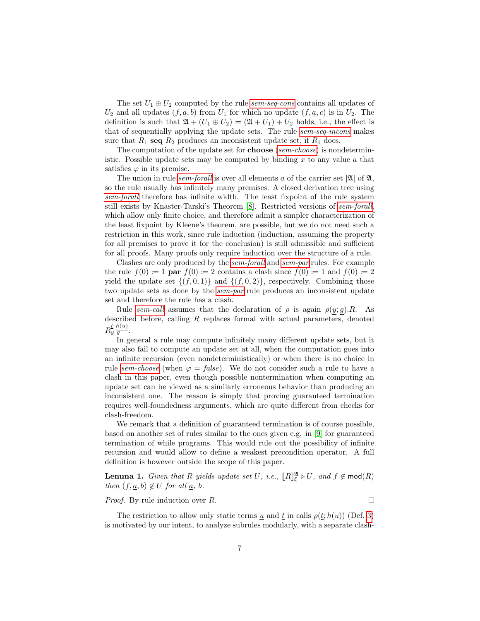The set  $U_1 \oplus U_2$  computed by the rule [sem-seq-cons](#page-3-1) contains all updates of  $U_2$  and all updates  $(f, \underline{a}, b)$  from  $U_1$  for which no update  $(f, \underline{a}, c)$  is in  $U_2$ . The definition is such that  $\mathfrak{A} + (U_1 \oplus U_2) = (\mathfrak{A} + U_1) + U_2$  holds, i.e., the effect is that of sequentially applying the update sets. The rule [sem-seq-incons](#page-3-2) makes sure that  $R_1$  seq  $R_2$  produces an inconsistent update set, if  $R_1$  does.

The computation of the update set for **choose** ([sem-choose](#page-3-3)) is nondeterministic. Possible update sets may be computed by binding  $x$  to any value  $a$  that satisfies  $\varphi$  in its premise.

The union in rule [sem-forall](#page-3-4) is over all elements a of the carrier set  $|\mathfrak{A}|$  of  $\mathfrak{A}$ , so the rule usually has infinitely many premises. A closed derivation tree using [sem-forall](#page-3-4) therefore has infinite width. The least fixpoint of the rule system still exists by Knaster-Tarski's Theorem [\[8\]](#page-32-4). Restricted versions of [sem-forall](#page-3-4), which allow only finite choice, and therefore admit a simpler characterization of the least fixpoint by Kleene's theorem, are possible, but we do not need such a restriction in this work, since rule induction (induction, assuming the property for all premises to prove it for the conclusion) is still admissible and sufficient for all proofs. Many proofs only require induction over the structure of a rule.

Clashes are only produced by the [sem-forall](#page-3-4) and [sem-par](#page-3-5) rules. For example the rule  $f(0) \coloneqq 1$  par  $f(0) \coloneqq 2$  contains a clash since  $f(0) \coloneqq 1$  and  $f(0) \coloneqq 2$ yield the update set  $\{(f, 0, 1)\}\$  and  $\{(f, 0, 2)\}\$ , respectively. Combining those two update sets as done by the [sem-par](#page-3-5) rule produces an inconsistent update set and therefore the rule has a clash.

Rule [sem-call](#page-3-6) assumes that the declaration of  $\rho$  is again  $\rho(y; g)$ . As described before, calling R replaces formal with actual parameters, denoted  $R_y^{\underline{t}} \frac{h(u)}{g}$ .

In general a rule may compute infinitely many different update sets, but it may also fail to compute an update set at all, when the computation goes into an infinite recursion (even nondeterministically) or when there is no choice in rule [sem-choose](#page-3-3) (when  $\varphi = false$ ). We do not consider such a rule to have a clash in this paper, even though possible nontermination when computing an update set can be viewed as a similarly erroneous behavior than producing an inconsistent one. The reason is simply that proving guaranteed termination requires well-foundedness arguments, which are quite different from checks for clash-freedom.

We remark that a definition of guaranteed termination is of course possible, based on another set of rules similar to the ones given e.g. in [\[9\]](#page-32-5) for guaranteed termination of while programs. This would rule out the possibility of infinite recursion and would allow to define a weakest precondition operator. A full definition is however outside the scope of this paper.

**Lemma 1.** Given that R yields update set U, i.e.,  $[[R]]_{\xi}^{\mathfrak{A}} \triangleright U$ , and  $f \notin \text{mod}(R)$ <br>then  $(f, g, h) \preceq U$  for all  $g, h$ then  $(f, \underline{a}, b) \notin U$  for all  $\underline{a}, b$ .

Proof. By rule induction over R.

 $\Box$ 

The restriction to allow only static terms  $\underline{u}$  and  $\underline{t}$  in calls  $\rho(\underline{t}; h(u))$  (Def. [3\)](#page-4-0) is motivated by our intent, to analyze subrules modularly, with a separate clash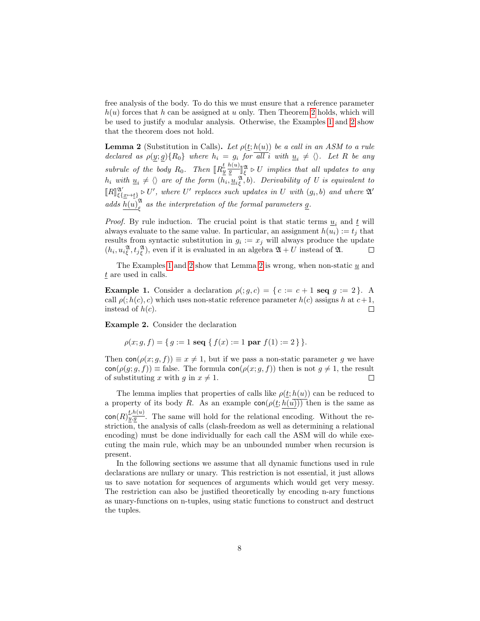free analysis of the body. To do this we must ensure that a reference parameter  $h(u)$  forces that h can be assigned at u only. Then Theorem [2](#page-7-1) holds, which will be used to justify a modular analysis. Otherwise, the Examples [1](#page-7-0) and [2](#page-7-2) show that the theorem does not hold.

<span id="page-7-1"></span>**Lemma 2** (Substitution in Calls). Let  $\rho(\underline{t}; h(u))$  be a call in an ASM to a rule declared as  $\rho(\underline{y};\underline{g})\{R_0\}$  where  $h_i = g_i$  for all i with  $\underline{u}_i \neq \langle \rangle$ . Let R be any subrule of the body  $R_0$ . Then  $\llbracket R_{\underline{y}}^{\underline{t}} \frac{h(u)}{\underline{g}} \rrbracket$  $\frac{E}{y} \frac{h(u)}{g}$   $\mathbb{R} \triangleright U$  implies that all updates to any  $h_i$  with  $\underline{u}_i \neq \langle \rangle$  are of the form  $(h_i, \underline{u}_i^{\mathfrak{A}}, b)$ . Derivability of U is equivalent to  $\llbracket R \rrbracket_{\xi\{\underline{x}\mapsto t\}}^{\mathfrak{A}'} \triangleright U'$ , where U' replaces such updates in U with  $(g_i, b)$  and where  $\mathfrak{A}'$ adds  $h(u)_{\epsilon}^{\mathfrak{A}}$  $\frac{a}{\xi}$  as the interpretation of the formal parameters <u>q</u>.

*Proof.* By rule induction. The crucial point is that static terms  $u_i$  and  $\underline{t}$  will always evaluate to the same value. In particular, an assignment  $h(u_i) := t_j$  that results from syntactic substitution in  $g_i := x_j$  will always produce the update  $(h_i, u_i^{\mathfrak{A}}, t_j^{\mathfrak{A}})$ , even if it is evaluated in an algebra  $\mathfrak{A} + U$  instead of  $\mathfrak{A}$ .  $\Box$ 

The Examples [1](#page-7-0) and [2](#page-7-1) show that Lemma 2 is wrong, when non-static  $\underline{u}$  and t are used in calls.

<span id="page-7-0"></span>Example 1. Consider a declaration  $\rho(j, q, c) = \{c := c + 1 \text{ seq } q := 2\}.$  A call  $\rho(j, h(c), c)$  which uses non-static reference parameter  $h(c)$  assigns h at  $c+1$ , instead of  $h(c)$ .  $\Box$ 

<span id="page-7-2"></span>Example 2. Consider the declaration

$$
\rho(x; g, f) = \{ g := 1 \text{ seq } \{ f(x) := 1 \text{ par } f(1) := 2 \} \}.
$$

Then  $con(\rho(x; g, f)) \equiv x \neq 1$ , but if we pass a non-static parameter g we have  $\text{con}(\rho(g; g, f)) \equiv \text{false}$ . The formula  $\text{con}(\rho(x; g, f))$  then is not  $g \neq 1$ , the result of substituting x with g in  $x \neq 1$ .  $\Box$ 

The lemma implies that properties of calls like  $\rho(t; h(u))$  can be reduced to a property of its body R. As an example  $\text{con}(\rho(t; h(u)))$  then is the same as  $\text{con}(R)^{\underline{t},h(u)}_{y,g}$ . The same will hold for the relational encoding. Without the restriction, the analysis of calls (clash-freedom as well as determining a relational encoding) must be done individually for each call the ASM will do while executing the main rule, which may be an unbounded number when recursion is present.

In the following sections we assume that all dynamic functions used in rule declarations are nullary or unary. This restriction is not essential, it just allows us to save notation for sequences of arguments which would get very messy. The restriction can also be justified theoretically by encoding n-ary functions as unary-functions on n-tuples, using static functions to construct and destruct the tuples.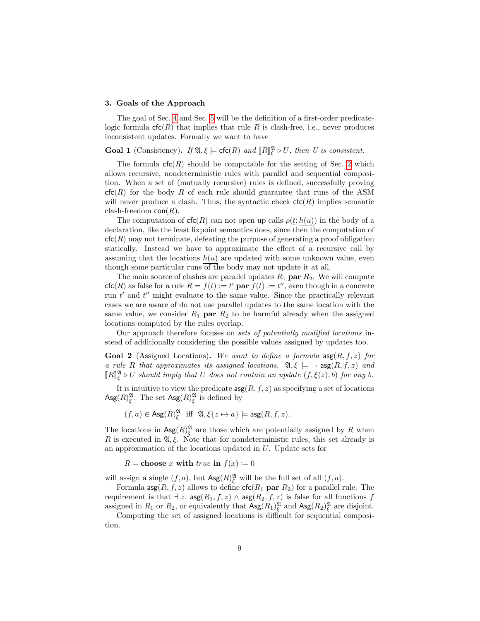#### <span id="page-8-0"></span>3. Goals of the Approach

The goal of Sec. [4](#page-11-0) and Sec. [5](#page-16-0) will be the definition of a first-order predicatelogic formula  $\mathsf{cfc}(R)$  that implies that rule R is clash-free, i.e., never produces inconsistent updates. Formally we want to have

<span id="page-8-2"></span>**Goal 1** (Consistency). If  $\mathfrak{A}, \xi \models \text{cfc}(R)$  and  $\llbracket R \rrbracket_{\xi}^{\mathfrak{A}} \triangleright U$ , then U is consistent.

The formula  $\mathsf{cfc}(R)$  should be computable for the setting of Sec. [2](#page-2-0) which allows recursive, nondeterministic rules with parallel and sequential composition. When a set of (mutually recursive) rules is defined, successfully proving  $cfc(R)$  for the body R of each rule should guarantee that runs of the ASM will never produce a clash. Thus, the syntactic check  $\mathsf{ctc}(R)$  implies semantic clash-freedom  $con(R)$ .

The computation of  $\mathsf{cfc}(R)$  can not open up calls  $\rho(t; h(u))$  in the body of a declaration, like the least fixpoint semantics does, since then the computation of  $cfc(R)$  may not terminate, defeating the purpose of generating a proof obligation statically. Instead we have to approximate the effect of a recursive call by assuming that the locations  $h(u)$  are updated with some unknown value, even though some particular runs of the body may not update it at all.

The main source of clashes are parallel updates  $R_1$  par  $R_2$ . We will compute  $\operatorname{cfc}(R)$  as false for a rule  $R = f(t) := t'$  par  $f(t) := t''$ , even though in a concrete run  $t'$  and  $t''$  might evaluate to the same value. Since the practically relevant cases we are aware of do not use parallel updates to the same location with the same value, we consider  $R_1$  par  $R_2$  to be harmful already when the assigned locations computed by the rules overlap.

Our approach therefore focuses on sets of potentially modified locations instead of additionally considering the possible values assigned by updates too.

<span id="page-8-1"></span>**Goal 2** (Assigned Locations). We want to define a formula  $\arg(R, f, z)$  for a rule R that approximates its assigned locations.  $\mathfrak{A}, \xi \models \neg \text{ asg}(R, f, z)$  and  $\llbracket R \rrbracket_{\xi}^{\mathfrak{A}} \triangleright U$  should imply that U does not contain an update  $(f, \xi(z), b)$  for any b.

It is intuitive to view the predicate  $\arg(R, f, z)$  as specifying a set of locations Asg $(R)_{\xi}^{\mathfrak{A}}$ . The set Asg $(R)_{\xi}^{\mathfrak{A}}$  is defined by

$$
(f,a) \in \text{Ass}(R)_{\xi}^{\mathfrak{A}}
$$
 iff  $\mathfrak{A}, \xi\{z \mapsto a\} \models \text{ass}(R, f, z).$ 

The locations in  $\text{Ag}(R)_{\xi}^{\mathfrak{A}}$  are those which are potentially assigned by R when R is executed in  $\mathfrak{A}, \xi$ . Note that for nondeterministic rules, this set already is an approximation of the locations updated in U. Update sets for

 $R = \text{choose } x \text{ with } true \text{ in } f(x) := 0$ 

will assign a single  $(f, a)$ , but  $\text{Ag}(R)_{\xi}^{\mathfrak{A}}$  will be the full set of all  $(f, a)$ .

Formula  $\arg(R, f, z)$  allows to define  $\textsf{ctc}(R_1 \textbf{ par } R_2)$  for a parallel rule. The requirement is that  $\exists z$ .  $\arg(R_1, f, z) \wedge \arg(R_2, f, z)$  is false for all functions f assigned in  $R_1$  or  $R_2$ , or equivalently that  $\text{Ag}(R_1)_{\xi}^{\mathfrak{A}}$  and  $\text{Ag}(R_2)_{\xi}^{\mathfrak{A}}$  are disjoint.

Computing the set of assigned locations is difficult for sequential composition.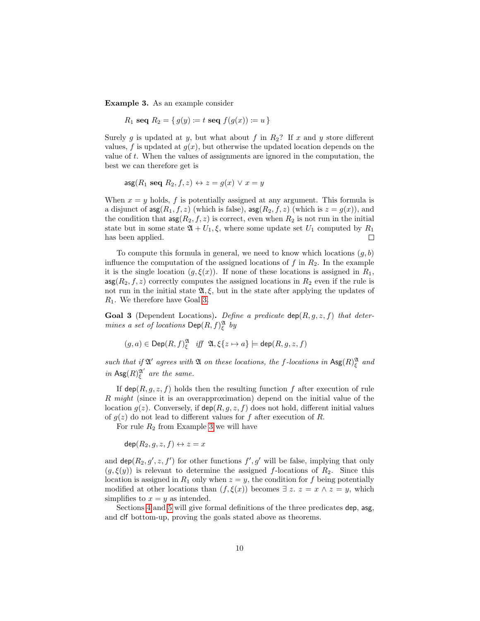<span id="page-9-1"></span>Example 3. As an example consider

$$
R_1
$$
 seq  $R_2 = \{ g(y) := t \text{ seq } f(g(x)) := u \}$ 

Surely g is updated at y, but what about f in  $R_2$ ? If x and y store different values, f is updated at  $g(x)$ , but otherwise the updated location depends on the value of  $t$ . When the values of assignments are ignored in the computation, the best we can therefore get is

$$
\mathsf{asg}(R_1 \mathrel{\mathbf{seq}} R_2, f, z) \leftrightarrow z = g(x) \vee x = y
$$

When  $x = y$  holds, f is potentially assigned at any argument. This formula is a disjunct of  $\arg(R_1, f, z)$  (which is false),  $\arg(R_2, f, z)$  (which is  $z = g(x)$ ), and the condition that  $\arg(R_2, f, z)$  is correct, even when  $R_2$  is not run in the initial state but in some state  $\mathfrak{A} + U_1, \xi$ , where some update set  $U_1$  computed by  $R_1$ has been applied.  $\Box$ 

To compute this formula in general, we need to know which locations  $(g, b)$ influence the computation of the assigned locations of  $f$  in  $R_2$ . In the example it is the single location  $(g, \xi(x))$ . If none of these locations is assigned in  $R_1$ ,  $\arg(R_2, f, z)$  correctly computes the assigned locations in  $R_2$  even if the rule is not run in the initial state  $\mathfrak{A}, \xi$ , but in the state after applying the updates of  $R_1$ . We therefore have Goal [3.](#page-9-0)

<span id="page-9-0"></span>**Goal 3** (Dependent Locations). Define a predicate  $\text{dep}(R, g, z, f)$  that determines a set of locations  $\mathsf{Dep}(R, f)_{\xi}^{\mathfrak{A}}$  by

$$
(g,a)\in \operatorname{Dep}(R,f)^{\mathfrak{A}}_{\xi} \quad \text{iff} \quad \mathfrak{A}, \xi\{z\mapsto a\} \models \operatorname{dep}(R,g,z,f)
$$

such that if  $\mathfrak{A}'$  agrees with  $\mathfrak{A}$  on these locations, the f-locations in  $\text{Asg}(R)_{\xi}^{\mathfrak{A}}$  and in  $\mathrm{Ag}(R)_{\xi}^{\mathfrak{A}'}$  are the same.

If  $\textsf{dep}(R, q, z, f)$  holds then the resulting function f after execution of rule R might (since it is an overapproximation) depend on the initial value of the location  $g(z)$ . Conversely, if  $\text{dep}(R, g, z, f)$  does not hold, different initial values of  $g(z)$  do not lead to different values for f after execution of R.

For rule  $R_2$  from Example [3](#page-9-1) we will have

 $\text{dep}(R_2, q, z, f) \leftrightarrow z = x$ 

and  $\textsf{dep}(R_2, g', z, f')$  for other functions  $f', g'$  will be false, implying that only  $(g, \xi(y))$  is relevant to determine the assigned f-locations of  $R_2$ . Since this location is assigned in  $R_1$  only when  $z = y$ , the condition for f being potentially modified at other locations than  $(f, \xi(x))$  becomes  $\exists z. z = x \land z = y$ , which simplifies to  $x = y$  as intended.

Sections [4](#page-11-0) and [5](#page-16-0) will give formal definitions of the three predicates dep, asg, and clf bottom-up, proving the goals stated above as theorems.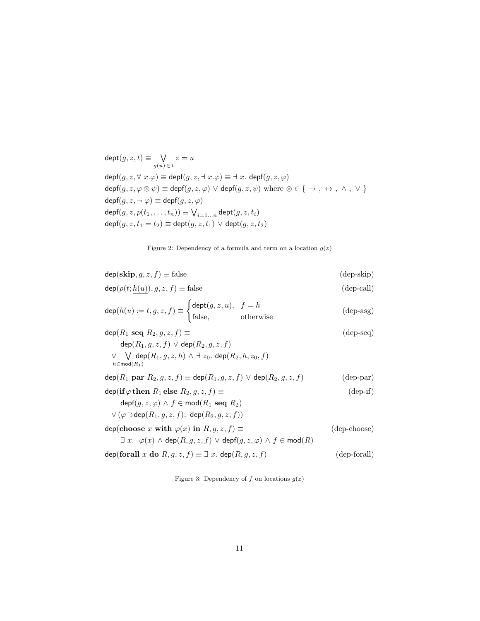$\mathsf{depth}(g, z, t) \equiv \bigvee$  $g(u) \in t$  $z = u$  $\mathsf{depf}(g,z,\forall\ x.\varphi) \equiv \mathsf{depf}(g,z,\exists\ x.\varphi) \equiv \exists\ x.\ \mathsf{depf}(g,z,\varphi)$  $\mathsf{depf}(g, z, \varphi \otimes \psi) \equiv \mathsf{depf}(g, z, \varphi) \vee \mathsf{depf}(g, z, \psi) \text{ where } \otimes \in \{ \rightarrow , \leftrightarrow , \land , \lor \}$  $\mathsf{depf}(g, z, \neg \varphi) \equiv \mathsf{depf}(g, z, \varphi)$  $\mathsf{depf}(g,z,p(t_1,\ldots,t_n)) \equiv \bigvee_{i=1...n} \mathsf{dept}(g,z,t_i)$  $\text{depf}(g, z, t_1 = t_2) \equiv \text{dept}(g, z, t_1) \vee \text{dept}(g, z, t_2)$ 

<span id="page-10-4"></span><span id="page-10-3"></span><span id="page-10-2"></span><span id="page-10-0"></span>Figure 2: Dependency of a formula and term on a location  $g(z)$ 

| $dep(\textbf{skip}, g, z, f) \equiv false$                                                                                          | $(\text{dep-skip})$ |
|-------------------------------------------------------------------------------------------------------------------------------------|---------------------|
| $\textsf{dep}(\rho(\underline{t};h(u)),g,z,f) \equiv \text{false}$                                                                  | (depcall)           |
| $\text{dep}(h(u) := t, g, z, f) \equiv \begin{cases} \text{dept}(g, z, u), & f = h \\ \text{false}, & \text{otherwise} \end{cases}$ | $(\text{dep-asg})$  |
| $\textsf{dep}(R_1 \textsf{ seq } R_2, g, z, f) \equiv$                                                                              | $(\text{dep-seq})$  |
| $\textsf{dep}(R_1, q, z, f) \vee \textsf{dep}(R_2, q, z, f)$                                                                        |                     |
| $\vee$ $\vee$ dep $(R_1, g, z, h) \wedge \exists z_0$ . dep $(R_2, h, z_0, f)$<br>$h \in \text{mod}(R_1)$                           |                     |
| $\mathsf{dep}(R_1 \text{ par } R_2, q, z, f) \equiv \mathsf{dep}(R_1, q, z, f) \vee \mathsf{dep}(R_2, q, z, f)$                     | $(\text{dep-par})$  |
| $\textsf{dep}(\textbf{if }\varphi \textbf{ then } R_1 \textbf{ else } R_2, q, z, f) \equiv$                                         | $(\text{dep-if})$   |
| $\text{depf}(g, z, \varphi) \wedge f \in \text{mod}(R_1 \text{ seq } R_2)$                                                          |                     |
| $\vee$ ( $\varphi$ $\sup$ dep( $R_1, q, z, f$ ); dep( $R_2, q, z, f$ ))                                                             |                     |
| $dep(choose x with \varphi(x) in R, q, z, f) \equiv$                                                                                | (dep-choose)        |
| $\exists x. \varphi(x) \wedge \text{dep}(R, g, z, f) \vee \text{depf}(g, z, \varphi) \wedge f \in \text{mod}(R)$                    |                     |
| $\text{dep}(\text{for all } x \text{ do } R, g, z, f) \equiv \exists x. \text{dep}(R, g, z, f)$                                     | (dep-forall)        |
|                                                                                                                                     |                     |

<span id="page-10-6"></span><span id="page-10-5"></span><span id="page-10-1"></span>Figure 3: Dependency of f on locations  $g(z)$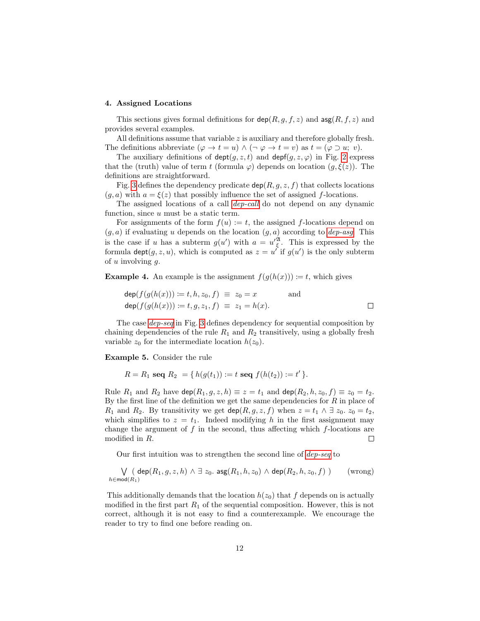#### <span id="page-11-0"></span>4. Assigned Locations

This sections gives formal definitions for  $\textsf{dep}(R, g, f, z)$  and  $\textsf{asg}(R, f, z)$  and provides several examples.

All definitions assume that variable  $z$  is auxiliary and therefore globally fresh. The definitions abbreviate  $(\varphi \to t = u) \wedge (\neg \varphi \to t = v)$  as  $t = (\varphi \supset u; v)$ .

The auxiliary definitions of  $\det(a, z, t)$  and  $\det(a, z, \varphi)$  in Fig. [2](#page-10-0) express that the (truth) value of term t (formula  $\varphi$ ) depends on location  $(g, \xi(z))$ . The definitions are straightforward.

Fig. [3](#page-10-1) defines the dependency predicate  $\text{dep}(R, g, z, f)$  that collects locations  $(g, a)$  with  $a = \xi(z)$  that possibly influence the set of assigned f-locations.

The assigned locations of a call [dep-call](#page-10-2) do not depend on any dynamic function, since u must be a static term.

For assignments of the form  $f(u) := t$ , the assigned f-locations depend on  $(g, a)$  if evaluating u depends on the location  $(g, a)$  according to [dep-asg](#page-10-3). This is the case if u has a subterm  $g(u')$  with  $a = u'^{\mathfrak{A}}_{\xi}$ . This is expressed by the formula  $\text{depth}(g, z, u)$ , which is computed as  $z = u'$  if  $g(u')$  is the only subterm of  $u$  involving  $q$ .

**Example 4.** An example is the assignment  $f(q(h(x))) \coloneqq t$ , which gives

$$
\begin{array}{lcl}\n\deg(f(g(h(x))) := t, h, z_0, f) & \equiv & z_0 = x \qquad \text{and} \\
\deg(f(g(h(x))) := t, g, z_1, f) & \equiv & z_1 = h(x).\n\end{array}
$$

The case [dep-seq](#page-10-4) in Fig. [3](#page-10-1) defines dependency for sequential composition by chaining dependencies of the rule  $R_1$  and  $R_2$  transitively, using a globally fresh variable  $z_0$  for the intermediate location  $h(z_0)$ .

<span id="page-11-1"></span>Example 5. Consider the rule

$$
R = R_1 \text{ seq } R_2 = \{ h(g(t_1)) := t \text{ seq } f(h(t_2)) := t' \}.
$$

Rule  $R_1$  and  $R_2$  have  $\textsf{dep}(R_1, g, z, h) \equiv z = t_1$  and  $\textsf{dep}(R_2, h, z_0, f) \equiv z_0 = t_2$ . By the first line of the definition we get the same dependencies for  $R$  in place of  $R_1$  and  $R_2$ . By transitivity we get  $\text{dep}(R, g, z, f)$  when  $z = t_1 \wedge \exists z_0$ .  $z_0 = t_2$ , which simplifies to  $z = t_1$ . Indeed modifying h in the first assignment may change the argument of  $f$  in the second, thus affecting which  $f$ -locations are modified in R.  $\Box$ 

Our first intuition was to strengthen the second line of [dep-seq](#page-10-4) to

$$
\bigvee_{h \in \text{mod}(R_1)} (\text{dep}(R_1, g, z, h) \land \exists z_0. \text{ asg}(R_1, h, z_0) \land \text{dep}(R_2, h, z_0, f)) \qquad \text{(wrong)}
$$

This additionally demands that the location  $h(z_0)$  that f depends on is actually modified in the first part  $R_1$  of the sequential composition. However, this is not correct, although it is not easy to find a counterexample. We encourage the reader to try to find one before reading on.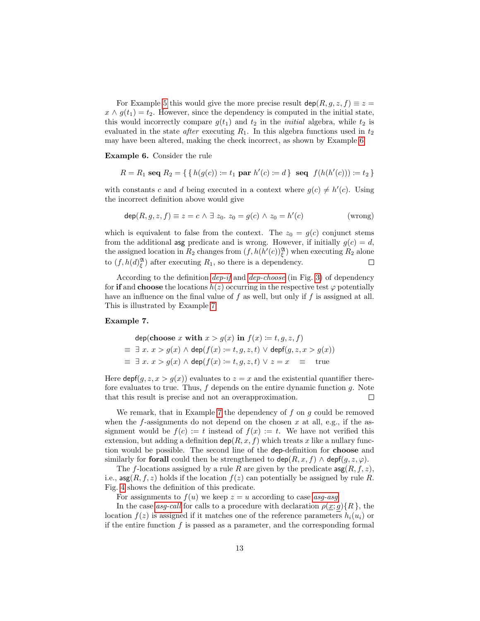For Example [5](#page-11-1) this would give the more precise result  $\text{dep}(R, g, z, f) \equiv z =$  $x \wedge g(t_1) = t_2$ . However, since the dependency is computed in the initial state, this would incorrectly compare  $g(t_1)$  and  $t_2$  in the *initial* algebra, while  $t_2$  is evaluated in the state *after* executing  $R_1$ . In this algebra functions used in  $t_2$ may have been altered, making the check incorrect, as shown by Example [6.](#page-12-0)

<span id="page-12-0"></span>Example 6. Consider the rule

$$
R = R_1 \text{ seq } R_2 = \{ \{ h(g(c)) := t_1 \text{ par } h'(c) := d \} \text{ seq } f(h(h'(c))) := t_2 \}
$$

with constants c and d being executed in a context where  $g(c) \neq h'(c)$ . Using the incorrect definition above would give

$$
\operatorname{dep}(R, g, z, f) \equiv z = c \land \exists z_0. z_0 = g(c) \land z_0 = h'(c)
$$
 (wrong)

which is equivalent to false from the context. The  $z_0 = g(c)$  conjunct stems from the additional asg predicate and is wrong. However, if initially  $g(c) = d$ , the assigned location in  $R_2$  changes from  $(f, h(h'(c))_{\xi}^{\mathfrak{A}})$  when executing  $R_2$  alone to  $(f, h(d)_{\xi}^{\mathfrak{A}})$  after executing  $R_1$ , so there is a dependency.  $\Box$ 

According to the definition *[dep-if](#page-10-5)* and *[dep-choose](#page-10-6)* (in Fig. [3\)](#page-10-1) of dependency for if and choose the locations  $h(z)$  occurring in the respective test  $\varphi$  potentially have an influence on the final value of  $f$  as well, but only if  $f$  is assigned at all. This is illustrated by Example [7.](#page-12-1)

#### <span id="page-12-1"></span>Example 7.

$$
\begin{aligned}\n\text{dep}(\textbf{choose } x \text{ with } x > g(x) \text{ in } f(x) \coloneqq t, g, z, f) \\
\equiv \exists x. \ x > g(x) \land \text{dep}(f(x) \coloneqq t, g, z, t) \lor \text{dep}(g, z, x > g(x)) \\
\equiv \exists x. \ x > g(x) \land \text{dep}(f(x) \coloneqq t, g, z, t) \lor z = x \quad \equiv \quad \text{true}\n\end{aligned}
$$

Here  $\text{depf}(g, z, x > g(x))$  evaluates to  $z = x$  and the existential quantifier therefore evaluates to true. Thus,  $f$  depends on the entire dynamic function  $g$ . Note that this result is precise and not an overapproximation.  $\Box$ 

We remark, that in Example [7](#page-12-1) the dependency of  $f$  on  $g$  could be removed when the  $f$ -assignments do not depend on the chosen  $x$  at all, e.g., if the assignment would be  $f(c) := t$  instead of  $f(x) := t$ . We have not verified this extension, but adding a definition  $\text{dep}(R, x, f)$  which treats x like a nullary function would be possible. The second line of the dep-definition for choose and similarly for **forall** could then be strengthened to  $\text{dep}(R, x, f) \wedge \text{dep}(q, z, \varphi)$ .

The f-locations assigned by a rule R are given by the predicate  $\arg(R, f, z)$ , i.e.,  $\arg(R, f, z)$  holds if the location  $f(z)$  can potentially be assigned by rule R. Fig. [4](#page-13-0) shows the definition of this predicate.

For assignments to  $f(u)$  we keep  $z = u$  according to case [asg-asg](#page-13-1).

In the case asy-call for calls to a procedure with declaration  $\rho(x; g) \{R\}$ , the location  $f(z)$  is assigned if it matches one of the reference parameters  $h_i(u_i)$  or if the entire function  $f$  is passed as a parameter, and the corresponding formal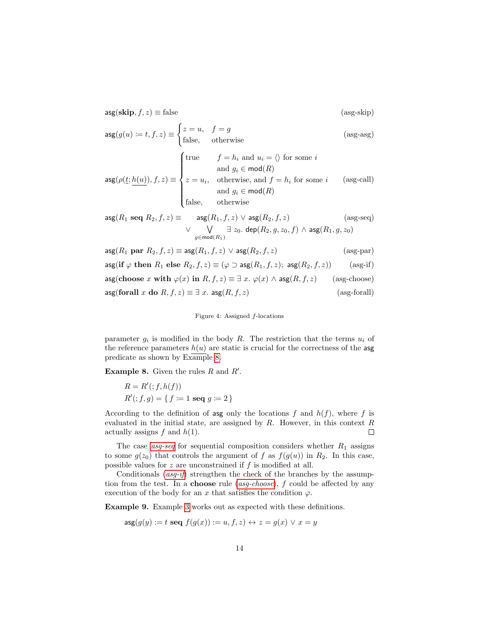$\text{asg}(\textbf{skip}, f, z) \equiv \text{false}$  (asg-skip)

$$
\text{asg}(g(u) := t, f, z) \equiv \begin{cases} z = u, & f = g \\ \text{false}, & \text{otherwise} \end{cases}
$$
 (asg-asg)  

$$
\begin{cases} \text{true} & f = h_i \text{ and } u_i = \langle \rangle \text{ for some } i \\ \text{and } a \in \text{mod}(P) \end{cases}
$$

$$
\text{asg}(\rho(\underline{t}; \underline{h(u)}), f, z) \equiv \begin{cases} \text{and } & j = h_i \text{ and } u_i = \sqrt{\text{ for some } i} \\ \text{and } g_i \in \text{mod}(R) \\ z = u_i, & \text{otherwise, and } f = h_i \text{ for some } i \\ \text{and } g_i \in \text{mod}(R) \\ \text{false,} & \text{otherwise} \end{cases} \tag{asg-call}
$$

$$
\mathsf{asg}(R_1 \ \mathsf{seq} \ R_2, f, z) \equiv \quad \mathsf{asg}(R_1, f, z) \ \lor \ \mathsf{asg}(R_2, f, z) \qquad \qquad (\text{asg-seq}) \\ \lor \quad \bigvee_{g \in \mathsf{mod}(R_1)} \exists \ z_0. \ \mathsf{dep}(R_2, g, z_0, f) \ \land \ \mathsf{asg}(R_1, g, z_0)
$$

$$
\begin{aligned}\n\text{asg}(R_1 \text{ par } R_2, f, z) &\equiv \text{asg}(R_1, f, z) \lor \text{asg}(R_2, f, z) \quad (\text{asg-par}) \\
\text{asg}(\text{if } \varphi \text{ then } R_1 \text{ else } R_2, f, z) &\equiv (\varphi \supset \text{asg}(R_1, f, z); \text{asg}(R_2, f, z)) \quad (\text{asg-if}) \\
\text{asg}(\text{choose } x \text{ with } \varphi(x) \text{ in } R, f, z) &\equiv \exists x. \varphi(x) \land \text{asg}(R, f, z) \quad (\text{asg-choose}) \\
\text{asg}(\text{forall } x \text{ do } R, f, z) &\equiv \exists x. \text{asg}(R, f, z) \quad (\text{asg-forall})\n\end{aligned}
$$

<span id="page-13-6"></span><span id="page-13-5"></span><span id="page-13-4"></span><span id="page-13-2"></span><span id="page-13-1"></span><span id="page-13-0"></span>Figure 4: Assigned f-locations

parameter  $g_i$  is modified in the body R. The restriction that the terms  $u_i$  of the reference parameters  $h(u)$  are static is crucial for the correctness of the asg predicate as shown by Example [8.](#page-13-3)

<span id="page-13-3"></span>**Example 8.** Given the rules  $R$  and  $R'$ .

$$
R = R'(:, f, h(f))
$$
  

$$
R'(:, f, g) = \{f := 1 \text{ seq } g := 2\}
$$

According to the definition of asg only the locations f and  $h(f)$ , where f is evaluated in the initial state, are assigned by  $R$ . However, in this context  $R$ actually assigns  $f$  and  $h(1)$ .  $\Box$ 

The case  $asg-seq$  for sequential composition considers whether  $R_1$  assigns to some  $g(z_0)$  that controls the argument of f as  $f(g(u))$  in  $R_2$ . In this case, possible values for  $z$  are unconstrained if  $f$  is modified at all.

Conditionals  $(asg-if)$  $(asg-if)$  $(asg-if)$  strengthen the check of the branches by the assumption from the test. In a **choose** rule (*[asg-choose](#page-13-6)*),  $f$  could be affected by any execution of the body for an x that satisfies the condition  $\varphi$ .

Example 9. Example [3](#page-9-1) works out as expected with these definitions.

$$
\mathsf{asg}(g(y) := t \mathsf{seq}\ f(g(x)) := u, f, z) \leftrightarrow z = g(x) \lor x = y
$$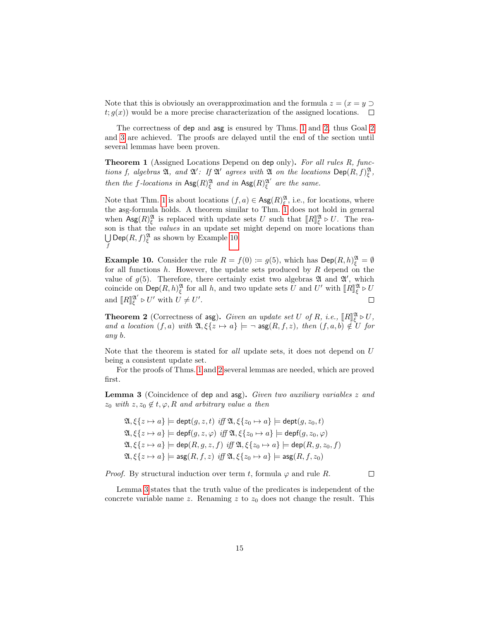Note that this is obviously an overapproximation and the formula  $z = (x = y \supset$  $t; g(x)$  would be a more precise characterization of the assigned locations.  $\Box$ 

The correctness of dep and asg is ensured by Thms. [1](#page-14-0) and [2,](#page-14-1) thus Goal [2](#page-8-1) and [3](#page-9-0) are achieved. The proofs are delayed until the end of the section until several lemmas have been proven.

<span id="page-14-0"></span>**Theorem 1** (Assigned Locations Depend on dep only). For all rules R, functions f, algebras  $\mathfrak{A}$ , and  $\mathfrak{A}'$ : If  $\mathfrak{A}'$  agrees with  $\mathfrak{A}$  on the locations  $\mathsf{Dep}(R, f)_{\xi}^{\mathfrak{A}}$ , then the f-locations in  $\text{Asg}(R)_{\xi}^{\mathfrak{A}}$  and in  $\text{Asg}(R)_{\xi}^{\mathfrak{A}'}$  are the same.

Note that Thm. [1](#page-14-0) is about locations  $(f, a) \in \mathsf{Ass}(R)_{\xi}^{\mathfrak{A}},$  i.e., for locations, where the asg-formula holds. A theorem similar to Thm. [1](#page-14-0) does not hold in general when  $\text{Ag}(R)_{\xi}^{\mathfrak{A}}$  is replaced with update sets U such that  $[[R]]_{\xi}^{\mathfrak{A}} \triangleright U$ . The rea-<br>son is that the *subjec* in an update set might depend on more locations than son is that the values in an update set might depend on more locations than  $\bigcup \mathsf{Dep}(R, f)_{\xi}^{\mathfrak{A}}$  as shown by Example [10.](#page-14-2) f

<span id="page-14-2"></span>**Example 10.** Consider the rule  $R = f(0) \coloneqq g(5)$ , which has  $\textsf{Dep}(R, h)_{\xi}^{\mathfrak{A}} = \emptyset$ for all functions  $h$ . However, the update sets produced by  $R$  depend on the value of  $g(5)$ . Therefore, there certainly exist two algebras  $\mathfrak A$  and  $\mathfrak A'$ , which coincide on  $\textsf{Dep}(R, h)_{\xi}^{\mathfrak{A}}$  for all h, and two update sets U and U' with  $\llbracket R \rrbracket_{\xi}^{\mathfrak{A}} \triangleright U$ and  $[[R]]_{\xi}^{\mathfrak{A}'} \triangleright U'$  with  $U \neq U'$ .  $\Box$ 

<span id="page-14-1"></span>**Theorem 2** (Correctness of asg). Given an update set U of R, i.e.,  $[[R]]_2^{\mathfrak{A}} \triangleright U$ ,<br>and a logation  $(f, g)$  with  $\mathfrak{A}$   $(f, g) \triangleright g]$   $\models g \mathfrak{so}(B, f, g)$ , then  $(f, g, h) \notin U$  for and a location  $(f, a)$  with  $\mathfrak{A}, \xi\{z \mapsto a\} \models \neg \operatorname{asg}(R, f, z)$ , then  $(f, a, b) \notin U$  for any b.

Note that the theorem is stated for all update sets, it does not depend on U being a consistent update set.

For the proofs of Thms. [1](#page-14-0) and [2](#page-14-1) several lemmas are needed, which are proved first.

<span id="page-14-3"></span>Lemma 3 (Coincidence of dep and asg). Given two auxiliary variables z and  $z_0$  with  $z, z_0 \notin t, \varphi, R$  and arbitrary value a then

$$
\mathfrak{A}, \xi\{z \mapsto a\} \models \text{dept}(g, z, t) \text{ iff } \mathfrak{A}, \xi\{z_0 \mapsto a\} \models \text{dept}(g, z_0, t)
$$
\n
$$
\mathfrak{A}, \xi\{z \mapsto a\} \models \text{depf}(g, z, \varphi) \text{ iff } \mathfrak{A}, \xi\{z_0 \mapsto a\} \models \text{depf}(g, z_0, \varphi)
$$
\n
$$
\mathfrak{A}, \xi\{z \mapsto a\} \models \text{dep}(R, g, z, f) \text{ iff } \mathfrak{A}, \xi\{z_0 \mapsto a\} \models \text{dep}(R, g, z_0, f)
$$
\n
$$
\mathfrak{A}, \xi\{z \mapsto a\} \models \text{agg}(R, f, z) \text{ iff } \mathfrak{A}, \xi\{z_0 \mapsto a\} \models \text{agg}(R, f, z_0)
$$

*Proof.* By structural induction over term t, formula  $\varphi$  and rule R.

 $\Box$ 

Lemma [3](#page-14-3) states that the truth value of the predicates is independent of the concrete variable name z. Renaming z to  $z_0$  does not change the result. This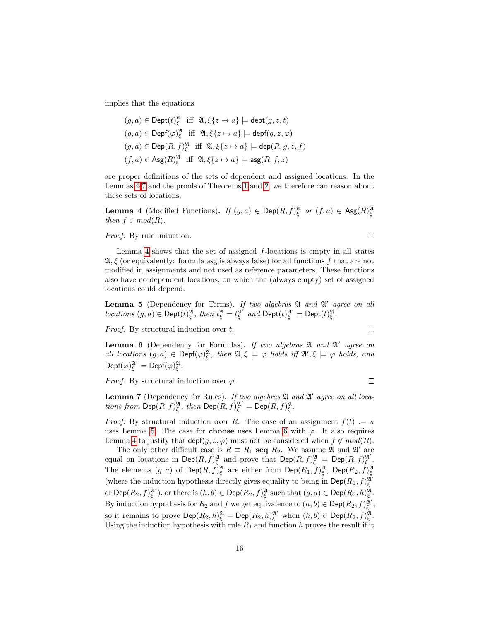implies that the equations

$$
(g, a) \in \text{Depth}(t)_{\xi}^{\mathfrak{A}} \text{ iff } \mathfrak{A}, \xi\{z \mapsto a\} \models \text{dept}(g, z, t)
$$
  

$$
(g, a) \in \text{Depth}(\varphi)_{\xi}^{\mathfrak{A}} \text{ iff } \mathfrak{A}, \xi\{z \mapsto a\} \models \text{depf}(g, z, \varphi)
$$
  

$$
(g, a) \in \text{Dep}(R, f)_{\xi}^{\mathfrak{A}} \text{ iff } \mathfrak{A}, \xi\{z \mapsto a\} \models \text{dep}(R, g, z, f)
$$
  

$$
(f, a) \in \text{Ass}(R)_{\xi}^{\mathfrak{A}} \text{ iff } \mathfrak{A}, \xi\{z \mapsto a\} \models \text{ass}(R, f, z)
$$

are proper definitions of the sets of dependent and assigned locations. In the Lemmas [4-](#page-15-0)[7](#page-15-1) and the proofs of Theorems [1](#page-14-0) and [2,](#page-14-1) we therefore can reason about these sets of locations.

<span id="page-15-0"></span>**Lemma 4** (Modified Functions). If  $(g, a) \in \mathsf{Dep}(R, f)_{\xi}^{\mathfrak{A}}$  or  $(f, a) \in \mathsf{Ass}(R)_{\xi}^{\mathfrak{A}}$ then  $f \in mod(R)$ .

Proof. By rule induction.

Lemma [4](#page-15-0) shows that the set of assigned f-locations is empty in all states  $\mathfrak{A}, \xi$  (or equivalently: formula asg is always false) for all functions f that are not modified in assignments and not used as reference parameters. These functions also have no dependent locations, on which the (always empty) set of assigned locations could depend.

<span id="page-15-2"></span>**Lemma 5** (Dependency for Terms). If two algebras  $\mathfrak A$  and  $\mathfrak A'$  agree on all locations  $(g, a) \in \text{Depth}(t)_{\xi}^{\mathfrak{A}}, \text{ then } t_{\xi}^{\mathfrak{A}} = t_{\xi}^{\mathfrak{A}^{\prime}} \text{ and } \text{Depth}(t)_{\xi}^{\mathfrak{A}^{\prime}} = \text{Depth}(t)_{\xi}^{\mathfrak{A}}.$ 

Proof. By structural induction over t.

<span id="page-15-3"></span>**Lemma 6** (Dependency for Formulas). If two algebras  $\mathfrak A$  and  $\mathfrak A'$  agree on all locations  $(g, a) \in \text{Depf}(\varphi)_{\xi}^{\mathfrak{A}}, \text{ then } \mathfrak{A}, \xi \models \varphi \text{ holds iff } \mathfrak{A}', \xi \models \varphi \text{ holds}, \text{ and}$  $\mathsf{Depth}(\varphi)^{\mathfrak{A}'}_{\xi}=\mathsf{Depth}(\varphi)^{\mathfrak{A}}_{\xi}.$ 

*Proof.* By structural induction over  $\varphi$ .

<span id="page-15-1"></span>Lemma 7 (Dependency for Rules). If two algebras  $\mathfrak A$  and  $\mathfrak A'$  agree on all locations from  $\textsf{Dep}(R, f)_{\xi}^{\mathfrak{A}},$  then  $\textsf{Dep}(R, f)_{\xi}^{\mathfrak{A}'} = \textsf{Dep}(R, f)_{\xi}^{\mathfrak{A}}.$ 

*Proof.* By structural induction over R. The case of an assignment  $f(t) := u$ uses Lemma [5.](#page-15-2) The case for **choose** uses Lemma [6](#page-15-3) with  $\varphi$ . It also requires Lemma [4](#page-15-0) to justify that  $\text{depf}(g, z, \varphi)$  must not be considered when  $f \notin mod(R)$ .

The only other difficult case is  $R \equiv R_1$  seq  $R_2$ . We assume  $\mathfrak{A}$  and  $\mathfrak{A}'$  are equal on locations in Dep $(R, f)_{\xi}^{\mathfrak{A}}$  and prove that  $\textsf{Dep}(R, f)_{\xi}^{\mathfrak{A}} = \textsf{Dep}(R, f)_{\xi}^{\mathfrak{A}'}$ . The elements  $(g, a)$  of  $\textsf{Dep}(R, f)_{\xi}^{\mathfrak{A}}$  are either from  $\textsf{Dep}(R_1, f)_{\xi}^{\mathfrak{A}}$ ,  $\textsf{Dep}(R_2, f)_{\xi}^{\mathfrak{A}}$ (where the induction hypothesis directly gives equality to being in  $\mathsf{Dep}(R_1, f)_{\xi}^{\mathfrak{A}}$ or  $\mathsf{Dep}(R_2,f)_{\xi}^{\mathfrak{A}'})$ , or there is  $(h,b)\in \mathsf{Dep}(R_2,f)_{\xi}^{\mathfrak{A}}$  such that  $(g,a)\in \mathsf{Dep}(R_2,h)_{\xi}^{\mathfrak{A}}$ . By induction hypothesis for  $R_2$  and  $f$  we get equivalence to  $(h, b) \in \mathsf{Dep}(R_2, f)_{\xi}^{\mathfrak{A}'}$ , so it remains to prove  $\mathsf{Dep}(R_2, h)_{\xi}^{\mathfrak{A}} = \mathsf{Dep}(R_2, h)_{\xi}^{\mathfrak{A}'}$  when  $(h, b) \in \mathsf{Dep}(R_2, f)_{\xi}^{\mathfrak{A}}$ . Using the induction hypothesis with rule  $R_1$  and function h proves the result if it

 $\Box$ 

 $\Box$ 

 $\Box$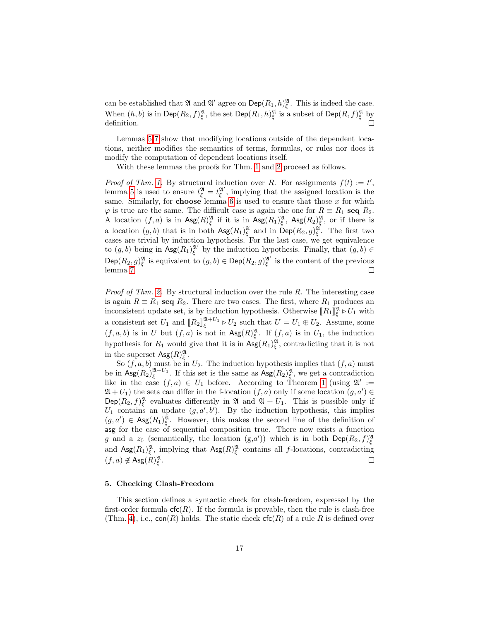can be established that  $\mathfrak A$  and  $\mathfrak A'$  agree on  $\mathsf{Dep}(R_1, h)_{\xi}^{\mathfrak A}$ . This is indeed the case. When  $(h, b)$  is in  $\mathsf{Dep}(R_2, f)_{\xi}^{\mathfrak{A}},$  the set  $\mathsf{Dep}(R_1, h)_{\xi}^{\mathfrak{A}}$  is a subset of  $\mathsf{Dep}(R, f)_{\xi}^{\mathfrak{A}}$  by  $\Box$ definition.

Lemmas [5-](#page-15-2)[7](#page-15-1) show that modifying locations outside of the dependent locations, neither modifies the semantics of terms, formulas, or rules nor does it modify the computation of dependent locations itself.

With these lemmas the proofs for Thm. [1](#page-14-0) and [2](#page-14-1) proceed as follows.

*Proof of Thm. [1.](#page-14-0)* By structural induction over R. For assignments  $f(t) := t'$ , lemma [5](#page-15-2) is used to ensure  $t_{\xi}^{\mathfrak{A}} = t_{\xi}^{\mathfrak{A}'}$ , implying that the assigned location is the same. Similarly, for **choose** lemma [6](#page-15-3) is used to ensure that those  $x$  for which  $\varphi$  is true are the same. The difficult case is again the one for  $R \equiv R_1$  seq  $R_2$ . A location  $(f, a)$  is in  $\mathsf{Ass}(R)_{\xi}^{\mathfrak{A}}$  if it is in  $\mathsf{Ass}(R_1)_{\xi}^{\mathfrak{A}}, \mathsf{Ass}(R_2)_{\xi}^{\mathfrak{A}},$  or if there is a location  $(g, b)$  that is in both  $\mathsf{Ass}(R_1)_{\xi}^{\mathfrak{A}}$  and in  $\mathsf{Dep}(R_2, g)_{\xi}^{\mathfrak{A}}$ . The first two cases are trivial by induction hypothesis. For the last case, we get equivalence to  $(g, b)$  being in  $\operatorname{Agg}(R_1)_{\xi}^{\mathfrak{A}'}$  by the induction hypothesis. Finally, that  $(g, b) \in$  $\mathsf{Dep}(R_2,g)_{\xi}^{\mathfrak{A}}$  is equivalent to  $(g,b) \in \mathsf{Dep}(R_2,g)_{\xi}^{\mathfrak{A}'}$  is the content of the previous lemma [7.](#page-15-1)  $\Box$ 

*Proof of Thm. [2.](#page-14-1)* By structural induction over the rule  $R$ . The interesting case is again  $R \equiv R_1$  seq  $R_2$ . There are two cases. The first, where  $R_1$  produces an inconsistent update set, is by induction hypothesis. Otherwise  $[[R_1]]_{{\xi}}^{{\mathfrak{A}}} \triangleright U_1$  with a consistent set  $U_1$  and  $[[R_2]]_{\xi}^{\mathfrak{A}+U_1} \triangleright U_2$  such that  $U = U_1 \oplus U_2$ . Assume, some  $(f, a, b)$  is in U but  $(f, a)$  is not in  $\mathsf{Agg}(R)_{\xi}^{\mathfrak{A}}$ . If  $(f, a)$  is in  $U_1$ , the induction hypothesis for  $R_1$  would give that it is in  $\text{Ag}(R_1)_{\xi}^{\mathfrak{A}},$  contradicting that it is not in the superset  $\operatorname{Agg}(R)_{\xi}^{\mathfrak{A}}$ .

So  $(f, a, b)$  must be in  $U_2$ . The induction hypothesis implies that  $(f, a)$  must be in  $\text{Ag}(R_2)_{\xi}^{\mathfrak{A}+U_1}$ . If this set is the same as  $\text{Ag}(R_2)_{\xi}^{\mathfrak{A}},$  we get a contradiction like in the case  $(f, a) \in U_1$  before. According to Theorem [1](#page-14-0) (using  $\mathfrak{A}' :=$  $\mathfrak{A} + U_1$ ) the sets can differ in the f-location  $(f, a)$  only if some location  $(g, a') \in$  $\mathsf{Dep}(R_2, f)_{\xi}^{\mathfrak{A}}$  evaluates differently in  $\mathfrak{A}$  and  $\mathfrak{A} + U_1$ . This is possible only if  $U_1$  contains an update  $(g, a', b')$ . By the induction hypothesis, this implies  $(g, a') \in \text{Ass}(R_1)_{\xi}^{\mathfrak{A}}$ . However, this makes the second line of the definition of asg for the case of sequential composition true. There now exists a function g and a  $z_0$  (semantically, the location  $(g,a')$ ) which is in both  $\mathsf{Dep}(R_2, f)_{\xi}^{\mathfrak{A}}$ and  $\text{Ag}(R_1)_{\xi}^{\mathfrak{A}},$  implying that  $\text{Ag}(R)_{\xi}^{\mathfrak{A}}$  contains all f-locations, contradicting  $(f, a) \notin \mathsf{Asg}(R)_{\xi}^{\mathfrak{A}}.$  $\Box$ 

#### <span id="page-16-0"></span>5. Checking Clash-Freedom

This section defines a syntactic check for clash-freedom, expressed by the first-order formula  $\mathsf{cfc}(R)$ . If the formula is provable, then the rule is clash-free (Thm. [4\)](#page-18-0), i.e.,  $con(R)$  holds. The static check  $\mathsf{cfc}(R)$  of a rule R is defined over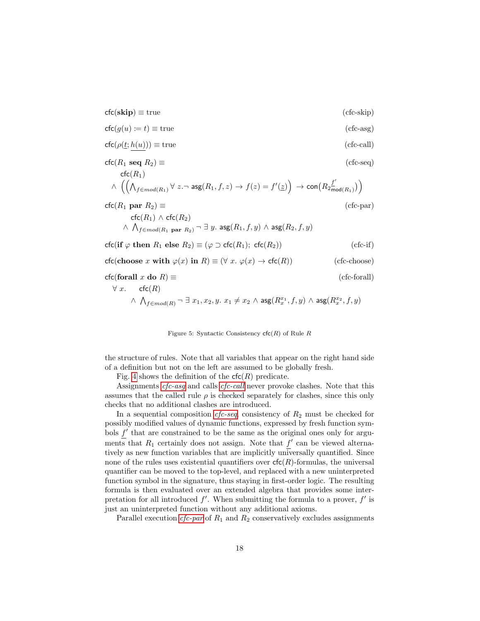$\mathsf{cfc}(\mathbf{skip}) \equiv \mathsf{true}$  (cfc-skip)

<span id="page-17-2"></span><span id="page-17-1"></span>
$$
\mathsf{cfc}(g(u) \coloneqq t) \equiv \mathsf{true} \tag{cfc-asg}
$$

$$
\mathsf{cfc}(\rho(\underline{t};\underline{h(u)})) \equiv \text{true} \tag{cfc-call}
$$

<span id="page-17-3"></span>
$$
\mathsf{ctc}(R_1 \mathbf{seq} R_2) \equiv
$$
\n
$$
\mathsf{ctc}(R_1)
$$
\n
$$
\wedge \left( \left( \bigwedge_{f \in mod(R_1)} \forall z. \neg \mathsf{asg}(R_1, f, z) \to f(z) = f'(z) \right) \to \mathsf{con}(R_2 \underline{f'}_{\mathsf{mod}(R_1)}) \right)
$$
\n
$$
\mathsf{ctc}(R_1 \mathbf{par} R_2) \equiv
$$
\n
$$
\text{(cfc-par)}
$$

 $\mathsf{cfc}(R_1) \wedge \mathsf{cfc}(R_2)$  $\wedge\;\bigwedge_{f\in mod(R_1\; \textbf{par}\; R_2)}\neg\; \exists\; y.$  asg $(R_1,f,y)\;\wedge\;$ asg $(R_2,f,y)$  $\operatorname{cfc}(\text{if } \varphi \text{ then } R_1 \text{ else } R_2) \equiv (\varphi \supset \operatorname{cfc}(R_1); \operatorname{cfc}(R_2))$  (cfc-if) cfc(choose x with  $\varphi(x)$  in  $R) \equiv (\forall x. \varphi(x) \rightarrow \text{cfc}(R))$  (cfc-choose) cfc(forall x do R)  $\equiv$  (cfc-forall)

# $\forall x$ . cfc $(R)$  $\wedge\ \bigwedge_{f\in mod(R)}\neg\ \exists\ x_1,x_2,y.\ x_1\neq x_2\ \wedge\ \text{asg}(R_x^{x_1},f,y)\ \wedge\ \text{asg}(R_x^{x_2},f,y)$

<span id="page-17-5"></span><span id="page-17-4"></span><span id="page-17-0"></span>Figure 5: Syntactic Consistency  $\mathsf{cfc}(R)$  of Rule R

the structure of rules. Note that all variables that appear on the right hand side of a definition but not on the left are assumed to be globally fresh.

Fig. [4](#page-17-0) shows the definition of the  $\mathsf{cfc}(R)$  predicate.

Assignments *[cfc-asg](#page-17-1)* and calls *[cfc-call](#page-17-2)* never provoke clashes. Note that this assumes that the called rule  $\rho$  is checked separately for clashes, since this only checks that no additional clashes are introduced.

In a sequential composition  $cfc-seq$ , consistency of  $R_2$  must be checked for possibly modified values of dynamic functions, expressed by fresh function symbols  $f'$  that are constrained to be the same as the original ones only for arguments that  $R_1$  certainly does not assign. Note that  $f'$  can be viewed alternatively as new function variables that are implicitly universally quantified. Since none of the rules uses existential quantifiers over  $\mathsf{cfc}(R)$ -formulas, the universal quantifier can be moved to the top-level, and replaced with a new uninterpreted function symbol in the signature, thus staying in first-order logic. The resulting formula is then evaluated over an extended algebra that provides some interpretation for all introduced  $f'$ . When submitting the formula to a prover,  $f'$  is just an uninterpreted function without any additional axioms.

Parallel execution *[cfc-par](#page-17-4)* of  $R_1$  and  $R_2$  conservatively excludes assignments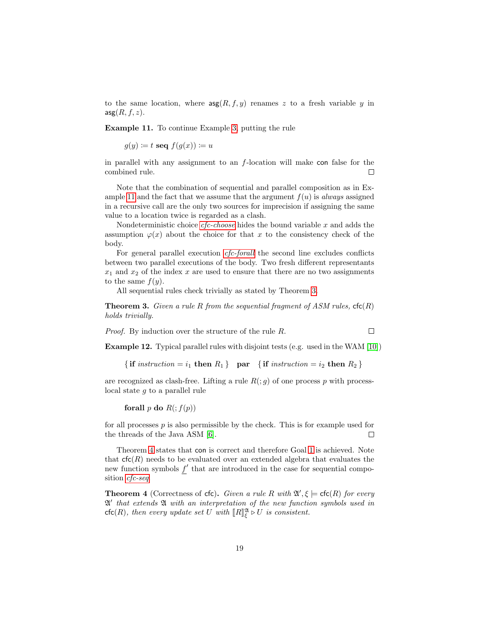to the same location, where  $\arg(R, f, y)$  renames z to a fresh variable y in  $\arg(R, f, z)$ .

<span id="page-18-1"></span>Example 11. To continue Example [3,](#page-9-1) putting the rule

 $g(y) \coloneqq t \text{ seq } f(g(x)) \coloneqq u$ 

in parallel with any assignment to an  $f$ -location will make con false for the combined rule.  $\Box$ 

Note that the combination of sequential and parallel composition as in Ex-ample [11](#page-18-1) and the fact that we assume that the argument  $f(u)$  is always assigned in a recursive call are the only two sources for imprecision if assigning the same value to a location twice is regarded as a clash.

Nondeterministic choice *[cfc-choose](#page-17-5)* hides the bound variable x and adds the assumption  $\varphi(x)$  about the choice for that x to the consistency check of the body.

For general parallel execution *[cfc-forall](#page-17-0)* the second line excludes conflicts between two parallel executions of the body. Two fresh different representants  $x_1$  and  $x_2$  of the index x are used to ensure that there are no two assignments to the same  $f(y)$ .

All sequential rules check trivially as stated by Theorem [3.](#page-18-2)

<span id="page-18-2"></span>**Theorem 3.** Given a rule R from the sequential fragment of ASM rules,  $\mathsf{ctc}(R)$ holds trivially.

Proof. By induction over the structure of the rule R.

Example 12. Typical parallel rules with disjoint tests (e.g. used in the WAM [\[10\]](#page-32-6))

 $\Box$ 

{if instruction = i<sub>1</sub> then  $R_1$ } par {if instruction = i<sub>2</sub> then  $R_2$ }

are recognized as clash-free. Lifting a rule  $R( ; g)$  of one process p with processlocal state g to a parallel rule

forall p do  $R(:, f(p))$ 

for all processes  $p$  is also permissible by the check. This is for example used for the threads of the Java ASM [\[6\]](#page-32-2).  $\Box$ 

Theorem [4](#page-18-0) states that con is correct and therefore Goal [1](#page-8-2) is achieved. Note that  $\textsf{cfc}(R)$  needs to be evaluated over an extended algebra that evaluates the new function symbols  $f'$  that are introduced in the case for sequential composition [cfc-seq](#page-17-3).

<span id="page-18-0"></span>**Theorem 4** (Correctness of cfc). Given a rule R with  $\mathfrak{A}', \xi \models \mathsf{ctc}(R)$  for every A 0 that extends A with an interpretation of the new function symbols used in  $\mathsf{cfc}(R)$ , then every update set U with  $\llbracket R \rrbracket^{\mathfrak{A}}_{\xi} \triangleright U$  is consistent.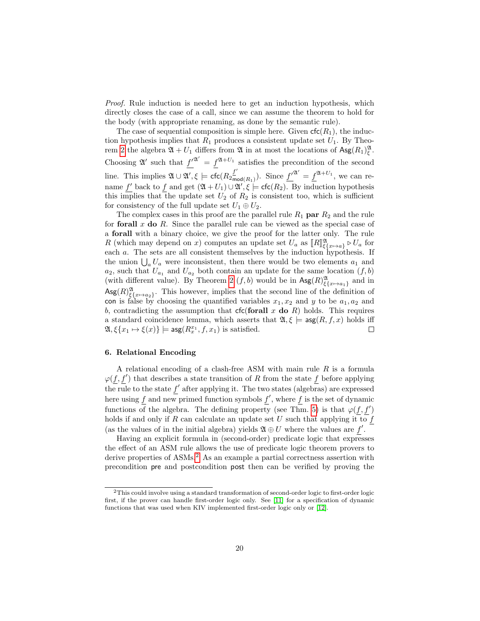Proof. Rule induction is needed here to get an induction hypothesis, which directly closes the case of a call, since we can assume the theorem to hold for the body (with appropriate renaming, as done by the semantic rule).

The case of sequential composition is simple here. Given  $\mathsf{cfc}(R_1)$ , the induction hypothesis implies that  $R_1$  produces a consistent update set  $U_1$ . By Theo-rem [2](#page-14-1) the algebra  $\mathfrak{A} + U_1$  differs from  $\mathfrak{A}$  in at most the locations of  $\mathsf{Agg}(R_1)_{\xi}^{\mathfrak{A}}$ . Choosing  $\mathfrak{A}'$  such that  $f'^{\mathfrak{A}'} = f^{\mathfrak{A}+U_1}$  satisfies the precondition of the second line. This implies  $\mathfrak{A} \cup \mathfrak{A}', \xi \models \mathsf{cfc}(R_2 \frac{f'}{m})$  $\frac{f'}{\text{mod}(R_1)}$ ). Since  $f'^{\mathfrak{A}'} = f^{\mathfrak{A}+U_1}$ , we can rename f' back to f and get  $(\mathfrak{A}+U_1) \cup \mathfrak{A}', \xi \models \mathsf{ctc}(R_2)$ . By induction hypothesis this implies that the update set  $U_2$  of  $R_2$  is consistent too, which is sufficient for consistency of the full update set  $U_1 \oplus U_2$ .

The complex cases in this proof are the parallel rule  $R_1$  par  $R_2$  and the rule for forall  $x$  do  $R$ . Since the parallel rule can be viewed as the special case of a forall with a binary choice, we give the proof for the latter only. The rule R (which may depend on x) computes an update set  $U_a$  as  $[[R]]_{\{x_{\alpha} \to a\}}^{\mathfrak{A}} \triangleright U_a$  for each a. The sets are all consistent themselves by the induction hypothesis. If the union  $\bigcup_a U_a$  were inconsistent, then there would be two elements  $a_1$  and  $a_2$ , such that  $U_{a_1}$  and  $U_{a_2}$  both contain an update for the same location  $(f, b)$ (with different value). By Theorem [2](#page-14-1)  $(f, b)$  would be in  $\text{Ass}(R)_{\xi\{x\mapsto a_1\}}^{\mathfrak{A}}$  and in  $\text{Ag}(R)_{\xi\{x\mapsto a_2\}}^{\mathfrak{A}}$ . This however, implies that the second line of the definition of con is false by choosing the quantified variables  $x_1, x_2$  and y to be  $a_1, a_2$  and b, contradicting the assumption that  $\mathsf{cfc}(\mathsf{for all}\; x\; \mathsf{do}\; R)$  holds. This requires a standard coincidence lemma, which asserts that  $\mathfrak{A}, \xi \models \text{agg}(R, f, x)$  holds iff  $\mathfrak{A}, \xi\{x_1 \mapsto \xi(x)\}\models \textsf{asg}(R_x^{x_1}, f, x_1) \text{ is satisfied.}$  $\Box$ 

#### <span id="page-19-0"></span>6. Relational Encoding

A relational encoding of a clash-free ASM with main rule  $R$  is a formula  $\varphi(f, f')$  that describes a state transition of R from the state f before applying the rule to the state  $f'$  after applying it. The two states (algebras) are expressed here using f and new primed function symbols  $f'$ , where f is the set of dynamic functions of the algebra. The defining property (see Thm. [5\)](#page-23-0) is that  $\varphi(f, f')$ holds if and only if  $R$  can calculate an update set  $U$  such that applying it to  $f$ (as the values of in the initial algebra) yields  $\mathfrak{A} \oplus U$  where the values are f'.

Having an explicit formula in (second-order) predicate logic that expresses the effect of an ASM rule allows the use of predicate logic theorem provers to derive properties of ASMs.<sup>[2](#page-19-1)</sup> As an example a partial correctness assertion with precondition pre and postcondition post then can be verified by proving the

<span id="page-19-1"></span><sup>2</sup>This could involve using a standard transformation of second-order logic to first-order logic first, if the prover can handle first-order logic only. See [\[11\]](#page-32-7) for a specification of dynamic functions that was used when KIV implemented first-order logic only or [\[12\]](#page-32-8).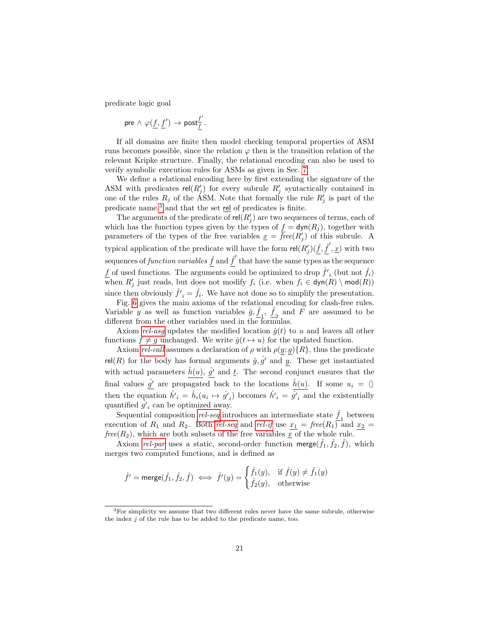predicate logic goal

$$
\text{pre} \wedge \, \varphi(\underline{f},\underline{f}') \to \text{post}^{\underline{f}'}_{\underline{f}}.
$$

If all domains are finite then model checking temporal properties of ASM runs becomes possible, since the relation  $\varphi$  then is the transition relation of the relevant Kripke structure. Finally, the relational encoding can also be used to verify symbolic execution rules for ASMs as given in Sec. [7.](#page-25-0)

We define a relational encoding here by first extending the signature of the ASM with predicates  $rel(R'_j)$  for every subrule  $R'_j$  syntactically contained in one of the rules  $R_j$  of the ASM. Note that formally the rule  $R'_j$  is part of the predicate name, $3$  and that the set rel of predicates is finite.

The arguments of the predicate of  $rel(R'_{j})$  are two sequences of terms, each of which has the function types given by the types of  $\underline{f} = \text{dyn}(R_j)$ , together with parameters of the types of the free variables  $\underline{x} = \overline{f}$ ree $(R'_j)$  of this subrule. A typical application of the predicate will have the form  $rel(R'_{j})(\underline{\hat{f}}, \underline{\hat{f}}', \underline{x})$  with two sequences of *function variables*  $\hat{f}$  and  $\hat{f}'$  that have the same types as the sequence  $\underline{f}$  of used functions. The arguments could be optimized to drop<br>  $\hat{f'}_i$  (but not  $\hat{f}_i)$ when  $R'_j$  just reads, but does not modify  $f_i$  (i.e. when  $f_i \in \mathsf{dyn}(R) \setminus \mathsf{mod}(R)$ ) since then obviously  $\hat{f'}_i = \hat{f}_i$ . We have not done so to simplify the presentation.

Fig. [6](#page-21-0) gives the main axioms of the relational encoding for clash-free rules. Variable y as well as function variables  $\hat{g}, \hat{f}_1, \hat{f}_2$  and F are assumed to be different from the other variables used in the formulas.

Axiom [rel-asg](#page-21-1) updates the modified location  $\hat{g}(t)$  to u and leaves all other functions  $f \neq g$  unchanged. We write  $\hat{g}(t \mapsto u)$  for the updated function.

Axiom [rel-call](#page-21-2) assumes a declaration of  $\rho$  with  $\rho(y; g) \{R\}$ , thus the predicate rel(R) for the body has formal arguments  $\hat{g}, \hat{g'}$  and y. These get instantiated with actual parameters  $\hat{h}(u)$ ,  $\hat{g'}$  and  $\underline{t}$ . The second conjunct ensures that the final values  $\hat{g'}$  are propagated back to the locations  $\hat{h}(u)$ . If some  $u_i = \langle \rangle$ then the equation  $\hat{h'}_i = \hat{h}_i(u_i \mapsto \hat{g'}_i)$  becomes  $\hat{h'}_i = \hat{g'}_i$  and the existentially quantified  $\tilde{g'}_i$  can be optimized away.

Sequential composition [rel-seq](#page-21-3) introduces an intermediate state  $\hat{f}_1$  between execution of  $R_1$  and  $R_2$ . Both [rel-seq](#page-21-3) and [rel-if](#page-21-4) use  $x_1$  = free( $R_1$ ) and  $x_2$  =  $free(R_2)$ , which are both subsets of the free variables  $\overline{x}$  of the whole rule.

Axiom [rel-par](#page-21-5) uses a static, second-order function merge( $\hat{f}_1$ ,  $\hat{f}_2$ ,  $\hat{f}$ ), which merges two computed functions, and is defined as

$$
\hat{f'} = \mathsf{merge}(\hat{f}_1, \hat{f}_2, \hat{f}) \iff \hat{f'}(y) = \begin{cases} \hat{f}_1(y), & \text{if } \hat{f}(y) \neq \hat{f}_1(y) \\ \hat{f}_2(y), & \text{otherwise} \end{cases}
$$

<span id="page-20-0"></span> $3$ For simplicity we assume that two different rules never have the same subrule, otherwise the index j of the rule has to be added to the predicate name, too.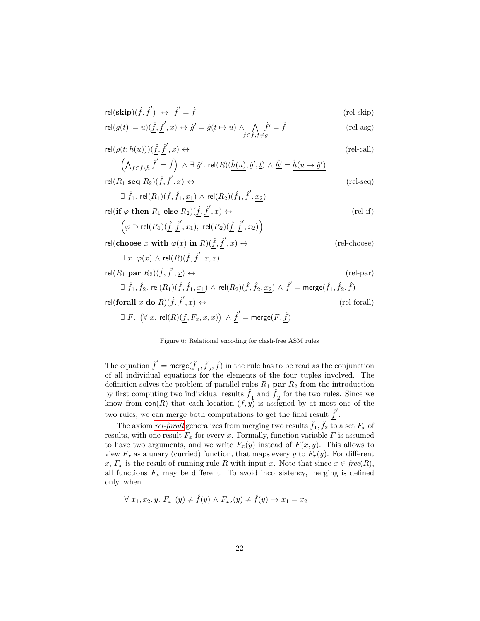$$
\begin{aligned}\n\text{rel}(\textbf{skip})(\hat{\underline{f}}, \hat{\underline{f}}') &\leftrightarrow \hat{\underline{f}}' = \hat{\underline{f}} \\
\text{rel}(g(t) &:= u)(\hat{f}, \hat{f}', \underline{x}) \leftrightarrow \hat{g}' = \hat{g}(t \mapsto u) \land \bigwedge \hat{f}' = \hat{f} \\
\text{(rel-asg)}\n\end{aligned}
$$

<span id="page-21-2"></span><span id="page-21-1"></span>
$$
f \in f, f \neq g
$$
\n
$$
f \in f, f \neq g
$$
\n
$$
f \in f, f \neq g
$$
\n
$$
(2 \times 2 \times 3) \times (2 \times 2 \times 3) \times (2 \times 2 \times 3) \times (2 \times 2 \times 3) \times (2 \times 2 \times 3) \times (2 \times 2 \times 3) \times (2 \times 2 \times 3) \times (2 \times 2 \times 3) \times (2 \times 2 \times 3) \times (2 \times 2 \times 3) \times (2 \times 2 \times 3) \times (2 \times 2 \times 3) \times (2 \times 2 \times 3) \times (2 \times 2 \times 3) \times (2 \times 2 \times 3) \times (2 \times 2 \times 3) \times (2 \times 2 \times 3) \times (2 \times 2 \times 3) \times (2 \times 2 \times 3) \times (2 \times 2 \times 3) \times (2 \times 2 \times 3) \times (2 \times 2 \times 3) \times (2 \times 2 \times 3) \times (2 \times 2 \times 3) \times (2 \times 2 \times 3) \times (2 \times 2 \times 3) \times (2 \times 2 \times 3) \times (2 \times 2 \times 3) \times (2 \times 2 \times 3) \times (2 \times 2 \times 3) \times (2 \times 2 \times 3) \times (2 \times 2 \times 3) \times (2 \times 2 \times 3) \times (2 \times 2 \times 3) \times (2 \times 2 \times 3) \times (2 \times 2 \times 3) \times (2 \times 2 \times 3) \times (2 \times 2 \times 3) \times (2 \times 2 \times 3) \times (2 \times 2 \times 3) \times (2 \times 2 \times 3) \times (2 \times 2 \times 3) \times (2 \times 2 \times 3) \times (2 \times 2 \times 3) \times (2 \times 2 \times 3) \times (2 \times 2 \times 3) \times (2 \times 2 \times 3) \times (2 \times 2 \times 3) \times (2 \times 2 \times 3) \times (2 \times 2 \times 3) \times (2 \times 2 \times 3) \times (2 \times 2 \times 3) \times (2 \times 2 \times 3) \times (2 \times 2 \times 3)
$$

$$
\mathsf{rel}(\rho(\underline{t};\underline{h(u)}))(\underline{\hat{f}},\underline{\hat{f}}',\underline{x}) \leftrightarrow \qquad (\text{rel-call})
$$
\n
$$
\left(\bigwedge_{f \in \hat{f} \setminus \hat{h}} \underline{\hat{f}}' = \hat{f}\right) \land \exists \; \hat{g}' \text{. } \mathsf{rel}(R)(\hat{h}(u),\hat{g}',\underline{t}) \land \underline{\hat{h}'} = \hat{h}(u \mapsto \hat{g}')
$$

<span id="page-21-3"></span>
$$
\left(\bigwedge_{f \in \hat{\underline{f}} \setminus \hat{\underline{h}}} \underline{f} = \underline{f}\right) \land \exists \, \underline{\hat{g}}'. \text{ rel}(R)(\underline{h}(u), \underline{\hat{g}}', \underline{t}) \land \underline{h'} = \underline{h}(u \mapsto \hat{g}')
$$
\n
$$
\text{rel}(R_1 \text{ seq } R_2)(\underline{\hat{f}}, \underline{\hat{f}}', \underline{x}) \leftrightarrow \qquad \qquad \text{(rel-seq)}
$$
\n
$$
\exists \, \underline{\hat{f}}_1. \text{ rel}(R_1)(\underline{\hat{f}}, \underline{\hat{f}}_1, \underline{x}_1) \land \text{ rel}(R_2)(\underline{\hat{f}}_1, \underline{\hat{f}}', \underline{x}_2)
$$
\n
$$
\text{rel}(\text{if } \varphi \text{ then } R_1 \text{ else } R_2)(\underline{\hat{f}}, \underline{\hat{f}}', \underline{x}) \leftrightarrow \qquad \qquad \text{(rel-if)}
$$
\n
$$
\left(\varphi \supset \text{rel}(R_1)(\underline{\hat{f}}, \underline{\hat{f}}', \underline{x}_1); \text{ rel}(R_2)(\underline{\hat{f}}, \underline{\hat{f}}', \underline{x}_2)\right)
$$
\n
$$
\text{rel}(\text{choose } x \text{ with } \varphi(x) \text{ in } R)(\hat{f}, \hat{f}', \underline{x}) \leftrightarrow \qquad \qquad \text{(rel-choose)}
$$

$$
\exists x. \ \varphi(x) \land \text{rel}(R)(\underline{\hat{f}}, \underline{\hat{f}}', \underline{x}, x)
$$
\n
$$
\text{rel}(R_1 \text{ par } R_2)(\underline{\hat{f}}, \underline{\hat{f}}', \underline{x}) \leftrightarrow \text{(rel}(R_2)(\underline{\hat{f}}, \underline{\hat{f}}_2, \underline{x}_2) \land \underline{\hat{f}}' = \text{merge}(\underline{\hat{f}}_1, \underline{\hat{f}}_2, \underline{\hat{f}})
$$
\n
$$
\exists \underline{\hat{f}}_1, \underline{\hat{f}}_2. \text{ rel}(R_1)(\underline{\hat{f}}, \underline{\hat{f}}_1, \underline{x}_1) \land \text{ rel}(R_2)(\underline{\hat{f}}, \underline{\hat{f}}_2, \underline{x}_2) \land \underline{\hat{f}}' = \text{merge}(\underline{\hat{f}}_1, \underline{\hat{f}}_2, \underline{\hat{f}})
$$
\n
$$
\text{rel}(\text{for all } x \text{ do } R)(\underline{\hat{f}}, \underline{\hat{f}}', \underline{x}) \leftrightarrow \text{(rel-Gorall)}
$$
\n
$$
\exists \underline{F}. \ (\forall \ x. \ \text{rel}(R)(\underline{f}, \underline{F}_x, \underline{x}, x)) \land \underline{\hat{f}}' = \text{merge}(\underline{F}, \underline{\hat{f}})
$$

<span id="page-21-6"></span><span id="page-21-5"></span><span id="page-21-4"></span><span id="page-21-0"></span>Figure 6: Relational encoding for clash-free ASM rules

The equation  $\hat{f}' = \text{merge}(\hat{f}_1, \hat{f}_2, \hat{f})$  in the rule has to be read as the conjunction of all individual equations for the elements of the four tuples involved. The definition solves the problem of parallel rules  $R_1$  par  $R_2$  from the introduction by first computing two individual results  $\hat{f}_1$  and  $\hat{f}_2$  for the two rules. Since we know from  $con(R)$  that each location  $(f, y)$  is assigned by at most one of the two rules, we can merge both computations to get the final result  $\hat{f}'$ .

The axiom *[rel-forall](#page-21-6)* generalizes from merging two results  $\hat{f}_1, \hat{f}_2$  to a set  $F_x$  of results, with one result  $F_x$  for every x. Formally, function variable  $F$  is assumed to have two arguments, and we write  $F_x(y)$  instead of  $F(x, y)$ . This allows to view  $F_x$  as a unary (curried) function, that maps every y to  $F_x(y)$ . For different x,  $F_x$  is the result of running rule R with input x. Note that since  $x \in free(R)$ , all functions  $F_x$  may be different. To avoid inconsistency, merging is defined only, when

$$
\forall x_1, x_2, y. \ F_{x_1}(y) \neq \hat{f}(y) \land F_{x_2}(y) \neq \hat{f}(y) \rightarrow x_1 = x_2
$$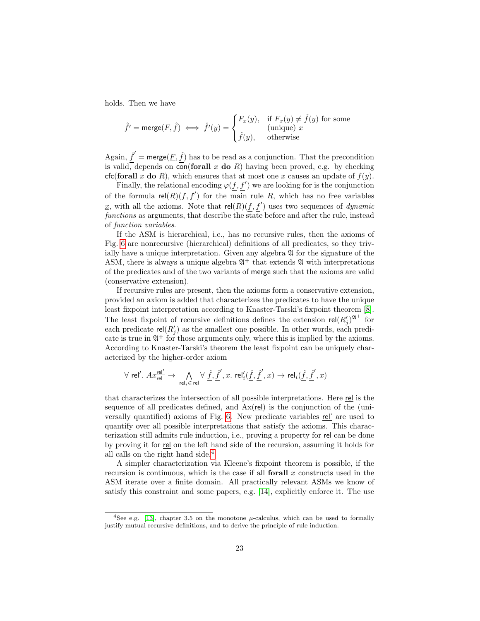holds. Then we have

$$
\hat{f}' = \text{merge}(F, \hat{f}) \iff \hat{f}'(y) = \begin{cases} F_x(y), & \text{if } F_x(y) \neq \hat{f}(y) \text{ for some} \\ & (\text{unique}) \ x \\ \hat{f}(y), & \text{otherwise} \end{cases}
$$

Again,  $\hat{f}' = \text{merge}(\underline{F}, \hat{f})$  has to be read as a conjunction. That the precondition is valid, depends on con(forall x do R) having been proved, e.g. by checking cfc(forall x do R), which ensures that at most one x causes an update of  $f(y)$ .

Finally, the relational encoding  $\varphi(f, f')$  we are looking for is the conjunction of the formula  $rel(R)(f, f')$  for the main rule R, which has no free variables <u>x</u>, with all the axioms. Note that  $rel(R)(f, f')$  uses two sequences of *dynamic* functions as arguments, that describe the state before and after the rule, instead of function variables.

If the ASM is hierarchical, i.e., has no recursive rules, then the axioms of Fig. [6](#page-21-0) are nonrecursive (hierarchical) definitions of all predicates, so they trivially have a unique interpretation. Given any algebra  $\mathfrak A$  for the signature of the ASM, there is always a unique algebra  $\mathfrak{A}^+$  that extends  $\mathfrak A$  with interpretations of the predicates and of the two variants of merge such that the axioms are valid (conservative extension).

If recursive rules are present, then the axioms form a conservative extension, provided an axiom is added that characterizes the predicates to have the unique least fixpoint interpretation according to Knaster-Tarski's fixpoint theorem [\[8\]](#page-32-4). The least fixpoint of recursive definitions defines the extension  $rel(R'_j)^{\mathfrak{A}^+}$  for each predicate  $rel(R'_j)$  as the smallest one possible. In other words, each predicate is true in  $\mathfrak{A}^+$  for those arguments only, where this is implied by the axioms. According to Knaster-Tarski's theorem the least fixpoint can be uniquely characterized by the higher-order axiom

$$
\forall \underline{\textrm{rel}'}.\ Ax_{\underline{\textrm{rel}}}^{\underline{\textrm{rel}}'}\rightarrow\ \bigwedge_{\textrm{rel}_i\in\underline{\textrm{rel}}} \forall\ \underline{\hat{f}}, \underline{\hat{f}}',\underline{x}.\ \textrm{rel}'_i(\underline{\hat{f}},\underline{\hat{f}}',\underline{x})\rightarrow\textrm{rel}_i(\underline{\hat{f}},\underline{\hat{f}}',\underline{x})
$$

that characterizes the intersection of all possible interpretations. Here rel is the sequence of all predicates defined, and  $Ax$ (rel) is the conjunction of the (universally quantified) axioms of Fig. [6.](#page-21-0) New predicate variables rel' are used to quantify over all possible interpretations that satisfy the axioms. This characterization still admits rule induction, i.e., proving a property for rel can be done by proving it for rel on the left hand side of the recursion, assuming it holds for all calls on the right hand side.[4](#page-22-0)

A simpler characterization via Kleene's fixpoint theorem is possible, if the recursion is continuous, which is the case if all **forall**  $x$  constructs used in the ASM iterate over a finite domain. All practically relevant ASMs we know of satisfy this constraint and some papers, e.g. [\[14\]](#page-32-9), explicitly enforce it. The use

<span id="page-22-0"></span><sup>&</sup>lt;sup>4</sup>See e.g. [\[13\]](#page-32-10), chapter 3.5 on the monotone  $\mu$ -calculus, which can be used to formally justify mutual recursive definitions, and to derive the principle of rule induction.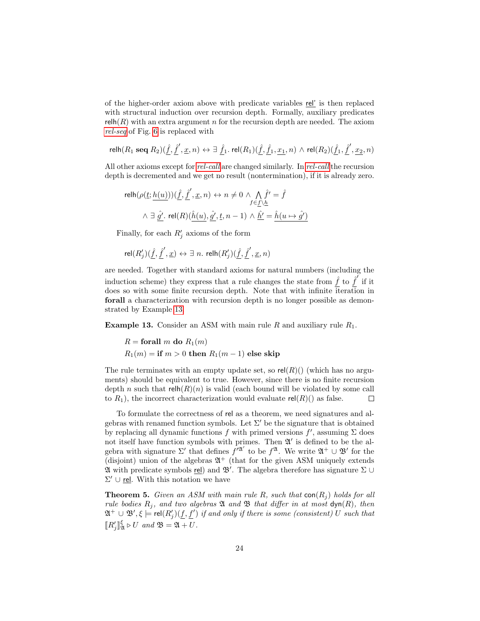of the higher-order axiom above with predicate variables rel' is then replaced with structural induction over recursion depth. Formally, auxiliary predicates relh( $R$ ) with an extra argument n for the recursion depth are needed. The axiom [rel-seq](#page-21-3) of Fig. [6](#page-21-0) is replaced with

 $\mathsf{relh}(R_1 \ \mathsf{seq} \ R_2)(\hat{f}, \hat{f}', \underline{x}, n) \leftrightarrow \exists \ \hat{f}_1. \ \mathsf{rel}(R_1)(\hat{f}, \hat{f}_1, x_1, n) \ \wedge \ \mathsf{rel}(R_2)(\hat{f}_1, \hat{f}', x_2, n)$ 

All other axioms except for *[rel-call](#page-21-2)* are changed similarly. In *rel-call* the recursion depth is decremented and we get no result (nontermination), if it is already zero.

relh(ρ(t; h(u)))( ˆf, ˆf 0 , x, n) ↔ n 6= 0 ∧ V f∈f\h ˆf <sup>0</sup> = ˆf ∧ ∃ gˆ<sup>0</sup> . rel(R)(hˆ(u), gˆ<sup>0</sup> , t, n − 1) ∧ hˆ<sup>0</sup> = hˆ(u 7→ gˆ0)

Finally, for each  $R'_j$  axioms of the form

$$
\mathsf{rel}(R'_j)(\underline{\hat{f}},\underline{\hat{f}}',\underline{x}) \leftrightarrow \exists\ n.\ \mathsf{relh}(R'_j)(\underline{\hat{f}},\underline{\hat{f}}',\underline{x},n)
$$

are needed. Together with standard axioms for natural numbers (including the induction scheme) they express that a rule changes the state from  $\hat{f}$  to  $\hat{f}'$  if it does so with some finite recursion depth. Note that with infinite iteration in forall a characterization with recursion depth is no longer possible as demonstrated by Example [13.](#page-23-1)

<span id="page-23-1"></span>**Example 13.** Consider an ASM with main rule R and auxiliary rule  $R_1$ .

$$
R = for all  $m$  **do**  $R_1(m)$   
 $R_1(m) = if  $m > 0$  **then**  $R_1(m - 1)$  **else skip**$
$$

The rule terminates with an empty update set, so  $rel(R)()$  (which has no arguments) should be equivalent to true. However, since there is no finite recursion depth n such that  $relh(R)(n)$  is valid (each bound will be violated by some call to  $R_1$ ), the incorrect characterization would evaluate rel( $R$ )() as false.  $\Box$ 

To formulate the correctness of rel as a theorem, we need signatures and algebras with renamed function symbols. Let  $\Sigma'$  be the signature that is obtained by replacing all dynamic functions f with primed versions  $f'$ , assuming  $\Sigma$  does not itself have function symbols with primes. Then  $\mathfrak{A}'$  is defined to be the algebra with signature  $\Sigma'$  that defines  $f'^{\mathfrak{A}'}$  to be  $f^{\mathfrak{A}}$ . We write  $\mathfrak{A}^+ \cup \mathfrak{B}'$  for the (disjoint) union of the algebras  $\mathfrak{A}^+$  (that for the given ASM uniquely extends  $\mathfrak A$  with predicate symbols rel) and  $\mathfrak B'$ . The algebra therefore has signature  $\Sigma \cup$  $\Sigma' \cup$  rel. With this notation we have

<span id="page-23-0"></span>**Theorem 5.** Given an ASM with main rule R, such that  $\text{con}(R_i)$  holds for all rule bodies  $R_j$ , and two algebras  $\mathfrak A$  and  $\mathfrak B$  that differ in at most  $\textsf{dyn}(R)$ , then  $\mathfrak{A}^+\cup\mathfrak{B}',\xi\models \mathsf{rel}(R'_j)(\underline{f},\underline{f}')$  if and only if there is some (consistent)  $U$  such that  $\llbracket R'_j \rrbracket$  $\frac{\xi}{\mathfrak{A}} \triangleright U$  and  $\mathfrak{B} = \mathfrak{A} + U$ .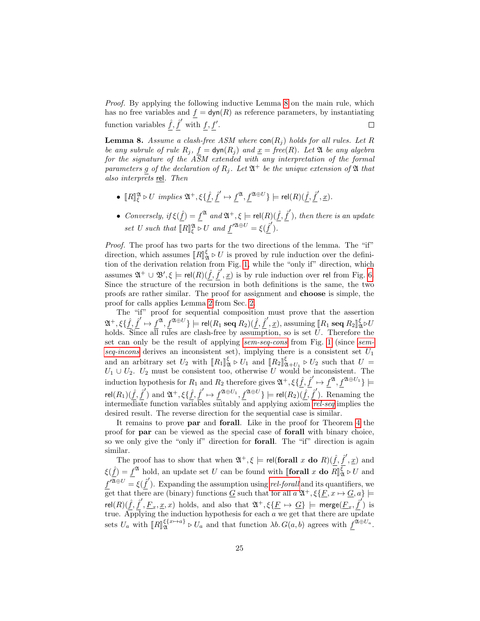Proof. By applying the following inductive Lemma [8](#page-24-0) on the main rule, which has no free variables and  $f = \text{dyn}(R)$  as reference parameters, by instantiating function variables  $\hat{f}, \hat{f}'$  with  $f, f'$ .  $\Box$ 

<span id="page-24-0"></span>**Lemma 8.** Assume a clash-free ASM where  $\text{con}(R_i)$  holds for all rules. Let R be any subrule of rule  $R_j$ ,  $f = \text{dyn}(R_j)$  and  $\underline{x} = \text{free}(R)$ . Let  $\mathfrak A$  be any algebra for the signature of the  $\overline{ASM}$  extended with any interpretation of the formal parameters g of the declaration of  $R_j$ . Let  $\mathfrak{A}^+$  be the unique extension of  $\mathfrak A$  that also interprets rel. Then

- $[R]_\xi^\mathfrak{A} \triangleright U$  implies  $\mathfrak{A}^+, \xi \{\underline{\hat{f}}, \underline{\hat{f}}' \mapsto \underline{f}^\mathfrak{A}, \underline{f}^{\mathfrak{A} \oplus U} \} \models \mathsf{rel}(R)(\underline{\hat{f}}, \underline{\hat{f}}', \underline{x}).$
- Conversely, if  $\xi(\hat{f}) = f^{\mathfrak{A}}$  and  $\mathfrak{A}^+, \xi \models \text{rel}(R)(\hat{f}, \hat{f}')$ , then there is an update set U such that  $\overline{[R]_\xi^{\mathfrak{A}}} \triangleright U$  and  $\underline{f}'^{\mathfrak{A} \oplus U} = \xi(\underline{\hat{f}}').$

Proof. The proof has two parts for the two directions of the lemma. The "if" direction, which assumes  $\llbracket R \rrbracket_{2k}^{\xi} \triangleright U$  is proved by rule induction over the defini-<br>tion of the derivation relation from Fig. 1, while the "only if" direction which tion of the derivation relation from Fig. [1,](#page-3-0) while the "only if" direction, which assumes  $\mathfrak{A}^+ \cup \mathfrak{B}', \xi \models rel(R)(\hat{f}, \hat{f}', \underline{x})$  is by rule induction over rel from Fig. [6.](#page-21-0) Since the structure of the recursion in both definitions is the same, the two proofs are rather similar. The proof for assignment and choose is simple, the proof for calls applies Lemma [2](#page-7-1) from Sec. [2.](#page-2-0)

The "if" proof for sequential composition must prove that the assertion  $\mathfrak{A}^+, \xi \{\hat{f}, \hat{f}' \mapsto f^{\mathfrak{A}}, f^{\mathfrak{A} \oplus U} \} \models \text{rel}(R_1 \text{ seq } R_2) (\hat{f}, \hat{f}', \underline{x})$ , assuming  $\llbracket R_1 \text{ seq } R_2 \rrbracket_{\mathfrak{A}}^{\xi} \triangleright U$ holds. Since all rules are clash-free by assumption, so is set U. Therefore the set can only be the result of applying [sem-seq-cons](#page-3-1) from Fig. [1](#page-3-0) (since [sem](#page-3-2)[seq-incons](#page-3-2) derives an inconsistent set), implying there is a consistent set  $U_1$ and an arbitrary set  $U_2$  with  $[[R_1]]_X^{\xi} \triangleright U_1$  and  $[[R_2]]_{X+U_1}^{\xi} \triangleright U_2$  such that  $U =$ <br> $U_1 \perp U_2$ .  $U_2$  must be consistent too otherwise  $U$  would be inconsistent. The  $U_1 \cup U_2$ .  $U_2$  must be consistent too, otherwise U would be inconsistent. The induction hypothesis for  $R_1$  and  $R_2$  therefore gives  $\mathfrak{A}^+$ ,  $\xi {\hat{f}}, {\hat{f}}' \mapsto f^{\mathfrak{A}}, f^{\mathfrak{A} \oplus U_1}$   $\models$  $\mathsf{rel}(R_1)(\hat{f},\hat{f}') \text{ and } \mathfrak{A}^+, \xi\{\hat{f},\hat{f}' \mapsto f^{\mathfrak{A} \oplus U_1}, f^{\mathfrak{A} \oplus U}\} \models \mathsf{rel}(R_2)(\hat{f},\hat{f}').$  Renaming the intermediate function variables suitably and applying  $axiom$  [rel-seq](#page-21-3) implies the desired result. The reverse direction for the sequential case is similar.

It remains to prove par and forall. Like in the proof for Theorem [4](#page-18-0) the proof for par can be viewed as the special case of forall with binary choice, so we only give the "only if" direction for forall. The "if" direction is again similar.

The proof has to show that when  $\mathfrak{A}^+, \xi \models \text{rel}(\text{for all } x \text{ do } R)(\hat{f}, \hat{f}', \underline{x})$  and  $\xi(\hat{f}) = f^{\mathfrak{A}}$  hold, an update set U can be found with [forall x do  $R$ ]  $\int_{\mathfrak{A}}^{\xi} \triangleright U$  and  $f'^{\overline{\mathfrak{A}}\oplus U} = \xi(\hat{f}')$ . Expanding the assumption using [rel-forall](#page-21-6) and its quantifiers, we get that there are (binary) functions G such that for all  $a \mathfrak{A}^+, \xi \{F, x \mapsto G, a\} \models$  $rel(R)(\hat{f}, \hat{f}', E_x, x, x)$  holds, and also that  $\mathfrak{A}^+, \xi \{E \mapsto G\}$  = merge $(E_x, \hat{f}')$  is true. Applying the induction hypothesis for each a we get that there are update sets  $U_a$  with  $\llbracket R \rrbracket_{\mathfrak{A}}^{\xi\{x \mapsto a\}}$  $\mathcal{L}_{\mathfrak{A}}^{\{\{x\}\rightarrow a\}} \triangleright U_a$  and that function  $\lambda b. G(a, b)$  agrees with  $\underline{f}^{\mathfrak{A}\oplus U_a}$ .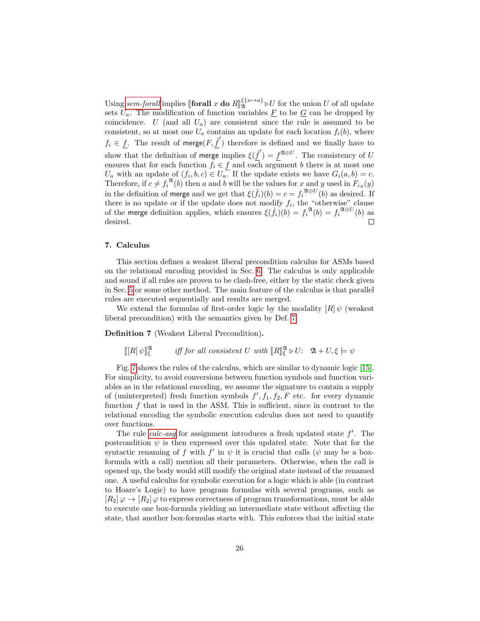Using [sem-forall](#page-3-4) implies  $\llbracket \text{forall } x \text{ do } R \rrbracket_{\mathfrak{A}}^{\xi\{x \mapsto a\}}$  $\mathfrak{A}^{x\mapsto a}$   $\triangleright U$  for the union U of all update sets  $U_a$ . The modification of function variables F to be G can be dropped by coincidence. U (and all  $U_a$ ) are consistent since the rule is assumed to be consistent, so at most one  $U_a$  contains an update for each location  $f_i(b)$ , where  $f_i \in f$ . The result of merge $(F, \hat{f}')$  therefore is defined and we finally have to show that the definition of merge implies  $\xi(\hat{f}') = f^{\mathfrak{A} \oplus U}$ . The consistency of U ensures that for each function  $f_i \in f$  and each argument b there is at most one  $U_a$  with an update of  $(f_i, b, c) \in U_a$ . If the update exists we have  $G_i(a, b) = c$ . Therefore, if  $c \neq f_i^{\mathfrak{A}}(b)$  then a and b will be the values for x and y used in  $F_{ix}(y)$ in the definition of merge and we get that  $\xi(\hat{f}_i)(b) = c = f_i^{\mathfrak{A} \oplus U}(b)$  as desired. If there is no update or if the update does not modify  $f_i$ , the "otherwise" clause of the merge definition applies, which ensures  $\xi(\hat{f}_i)(b) = f_i^{\mathfrak{A}}(b) = f_i^{\mathfrak{A} \oplus U}(b)$  as desired.  $\Box$ 

# <span id="page-25-0"></span>7. Calculus

This section defines a weakest liberal precondition calculus for ASMs based on the relational encoding provided in Sec. [6.](#page-19-0) The calculus is only applicable and sound if all rules are proven to be clash-free, either by the static check given in Sec. [5](#page-16-0) or some other method. The main feature of the calculus is that parallel rules are executed sequentially and results are merged.

We extend the formulas of first-order logic by the modality  $[R] \psi$  (weakest liberal precondition) with the semantics given by Def. [7.](#page-25-1)

<span id="page-25-1"></span>Definition 7 (Weakest Liberal Precondition).

 $\llbracket [R] \psi \rrbracket^{\mathfrak{A}}_{\xi}$ iff for all consistent U with  $[ R ]^{\mathfrak{A}}_{\xi} \triangleright U: \mathfrak{A} + U, \xi \models \psi$ 

Fig. [7](#page-26-0) shows the rules of the calculus, which are similar to dynamic logic [\[15\]](#page-32-11). For simplicity, to avoid conversions between function symbols and function variables as in the relational encoding, we assume the signature to contain a supply of (uninterpreted) fresh function symbols  $f', f_1, f_2, F$  etc. for every dynamic function  $f$  that is used in the ASM. This is sufficient, since in contrast to the relational encoding the symbolic execution calculus does not need to quantify over functions.

The rule *[calc-asg](#page-26-1)* for assignment introduces a fresh updated state  $f'$ . The postcondition  $\psi$  is then expressed over this updated state. Note that for the syntactic renaming of f with  $f'$  in  $\psi$  it is crucial that calls ( $\psi$  may be a boxformula with a call) mention all their parameters. Otherwise, when the call is opened up, the body would still modify the original state instead of the renamed one. A useful calculus for symbolic execution for a logic which is able (in contrast to Hoare's Logic) to have program formulas with several programs, such as  $[R_2] \varphi \to [R_2] \varphi$  to express correctness of program transformations, must be able to execute one box-formula yielding an intermediate state without affecting the state, that another box-formulas starts with. This enforces that the initial state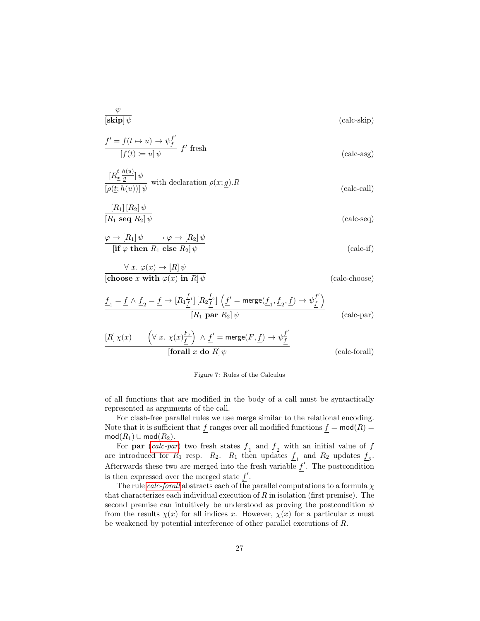$$
\frac{\psi}{\left[\mathbf{skip}\right]\psi} \tag{calc-skip}
$$

<span id="page-26-1"></span>
$$
\frac{f' = f(t \to u) \to \psi_f^{f'}}{[f(t) := u] \psi} f' \text{ fresh}
$$
 (calc-asg)

$$
\frac{[R_{\underline{x}}^{\underline{t}} \frac{h(u)}{\underline{g}}] \psi}{[\rho(\underline{t}; \underline{h(u)})] \psi}
$$
 with declaration  $\rho(\underline{x}; \underline{g}) \cdot R$  (calc-call)

$$
\frac{[R_1][R_2]\psi}{[R_1 \text{ seq } R_2]\psi} \tag{calc-seq}
$$

$$
\frac{\varphi \to [R_1] \psi \qquad \neg \varphi \to [R_2] \psi}{[\text{if } \varphi \text{ then } R_1 \text{ else } R_2] \psi} \tag{calc-if}
$$

$$
\forall x. \varphi(x) \to [R] \psi
$$
  
[choose x with  $\varphi(x)$  in R]  $\psi$   
(calc-choose)

$$
\frac{f_1 = f \wedge f_2 = f \rightarrow [R_1 \frac{f_1}{f}] [R_2 \frac{f_2}{f}] \left( \underline{f}' = \text{merge}(\underline{f}_1, \underline{f}_2, \underline{f}) \rightarrow \psi \frac{f'}{\underline{f}} \right)}{[R_1 \text{ par } R_2] \psi}
$$
 (calc-par)

$$
\begin{array}{ll}\n[R] \chi(x) & \left( \forall \; x. \; \chi(x) \frac{F_x}{\underline{f}} \right) \; \wedge \; \underline{f}' = \mathsf{merge}(\underline{F}, \underline{f}) \to \psi \frac{f'}{\underline{f}} \\
\hline\n\text{[for all } x \text{ do } R] \, \psi & \text{(calc-forall)}\n\end{array}
$$

#### <span id="page-26-3"></span><span id="page-26-2"></span><span id="page-26-0"></span>Figure 7: Rules of the Calculus

of all functions that are modified in the body of a call must be syntactically represented as arguments of the call.

For clash-free parallel rules we use merge similar to the relational encoding. Note that it is sufficient that  $\underline{f}$  ranges over all modified functions  $\underline{f} = \text{mod}(R) =$  $mod(R_1) \cup mod(R_2).$ 

For **par** ([calc-par](#page-26-2)) two fresh states  $\underline{f}_1$  and  $\underline{f}_2$  with an initial value of  $\underline{f}$ are introduced for  $R_1$  resp.  $R_2$ .  $R_1$  then updates  $\underline{f}_1$  and  $R_2$  updates  $\underline{f}_2$ . Afterwards these two are merged into the fresh variable  $f'$ . The postcondition is then expressed over the merged state  $f'$ .

The rule *[calc-forall](#page-26-3)* abstracts each of the parallel computations to a formula  $\chi$ that characterizes each individual execution of  $R$  in isolation (first premise). The second premise can intuitively be understood as proving the postcondition  $\psi$ from the results  $\chi(x)$  for all indices x. However,  $\chi(x)$  for a particular x must be weakened by potential interference of other parallel executions of R.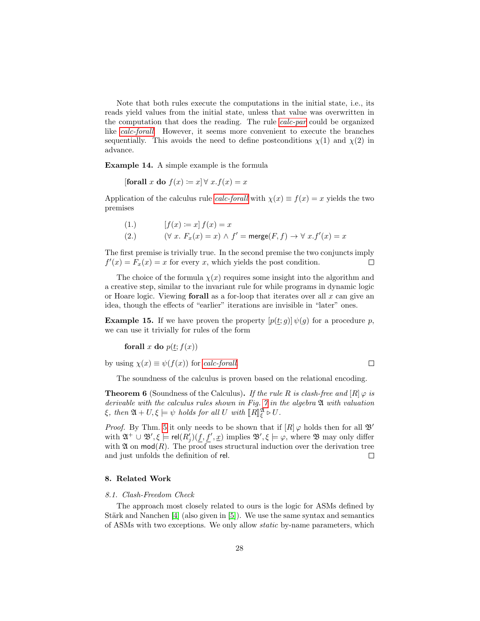Note that both rules execute the computations in the initial state, i.e., its reads yield values from the initial state, unless that value was overwritten in the computation that does the reading. The rule [calc-par](#page-26-2) could be organized like [calc-forall](#page-26-3). However, it seems more convenient to execute the branches sequentially. This avoids the need to define postconditions  $\chi(1)$  and  $\chi(2)$  in advance.

Example 14. A simple example is the formula

[forall x do  $f(x) := x \forall x . f(x) = x$ 

Application of the calculus rule *[calc-forall](#page-26-3)* with  $\chi(x) \equiv f(x) = x$  yields the two premises

(1.) 
$$
[f(x) := x] f(x) = x
$$

$$
(2.) \qquad (\forall x. F_x(x) = x) \land f' = \text{merge}(F, f) \to \forall x. f'(x) = x
$$

The first premise is trivially true. In the second premise the two conjuncts imply  $f'(x) = F_x(x) = x$  for every x, which yields the post condition.  $\Box$ 

The choice of the formula  $\chi(x)$  requires some insight into the algorithm and a creative step, similar to the invariant rule for while programs in dynamic logic or Hoare logic. Viewing **forall** as a for-loop that iterates over all  $x$  can give an idea, though the effects of "earlier" iterations are invisible in "later" ones.

**Example 15.** If we have proven the property  $[p(\underline{t};g)] \psi(g)$  for a procedure p, we can use it trivially for rules of the form

forall x do  $p(\underline{t}; f(x))$ 

by using  $\chi(x) \equiv \psi(f(x))$  for [calc-forall](#page-26-3).

The soundness of the calculus is proven based on the relational encoding.

 $\Box$ 

**Theorem 6** (Soundness of the Calculus). If the rule R is clash-free and  $[R] \varphi$  is derivable with the calculus rules shown in Fig. [7](#page-26-0) in the algebra  $\mathfrak A$  with valuation  $\xi$ , then  $\mathfrak{A} + U, \xi \models \psi$  holds for all U with  $\llbracket R \rrbracket_{\xi}^{\mathfrak{A}} \triangleright U$ .

*Proof.* By Thm. [5](#page-23-0) it only needs to be shown that if  $[R] \varphi$  holds then for all  $\mathfrak{B}'$ with  $\mathfrak{A}^+ \cup \mathfrak{B}', \xi \models \text{rel}(R'_j)(\underline{f}, \underline{f}', \underline{x})$  implies  $\mathfrak{B}', \xi \models \varphi$ , where  $\mathfrak{B}$  may only differ with  $\mathfrak A$  on  $mod(R)$ . The proof uses structural induction over the derivation tree and just unfolds the definition of rel.  $\Box$ 

# <span id="page-27-0"></span>8. Related Work

#### 8.1. Clash-Freedom Check

The approach most closely related to ours is the logic for ASMs defined by Stärk and Nanchen  $[4]$  (also given in  $[5]$ ). We use the same syntax and semantics of ASMs with two exceptions. We only allow static by-name parameters, which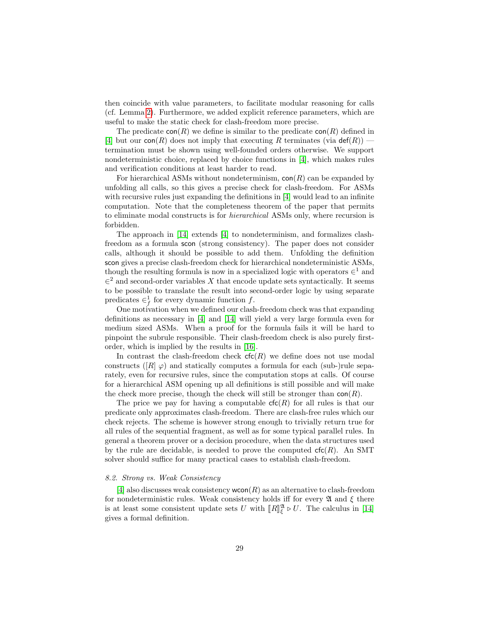then coincide with value parameters, to facilitate modular reasoning for calls (cf. Lemma [2\)](#page-7-1). Furthermore, we added explicit reference parameters, which are useful to make the static check for clash-freedom more precise.

The predicate  $con(R)$  we define is similar to the predicate  $con(R)$  defined in [\[4\]](#page-32-0) but our con(R) does not imply that executing R terminates (via  $\det(R)$ ) termination must be shown using well-founded orders otherwise. We support nondeterministic choice, replaced by choice functions in [\[4\]](#page-32-0), which makes rules and verification conditions at least harder to read.

For hierarchical ASMs without nondeterminism,  $\text{con}(R)$  can be expanded by unfolding all calls, so this gives a precise check for clash-freedom. For ASMs with recursive rules just expanding the definitions in [\[4\]](#page-32-0) would lead to an infinite computation. Note that the completeness theorem of the paper that permits to eliminate modal constructs is for hierarchical ASMs only, where recursion is forbidden.

The approach in [\[14\]](#page-32-9) extends [\[4\]](#page-32-0) to nondeterminism, and formalizes clashfreedom as a formula scon (strong consistency). The paper does not consider calls, although it should be possible to add them. Unfolding the definition scon gives a precise clash-freedom check for hierarchical nondeterministic ASMs, though the resulting formula is now in a specialized logic with operators  $\in^1$  and  $\in^2$  and second-order variables X that encode update sets syntactically. It seems to be possible to translate the result into second-order logic by using separate predicates  $\in_f^1$  for every dynamic function f.

One motivation when we defined our clash-freedom check was that expanding definitions as necessary in [\[4\]](#page-32-0) and [\[14\]](#page-32-9) will yield a very large formula even for medium sized ASMs. When a proof for the formula fails it will be hard to pinpoint the subrule responsible. Their clash-freedom check is also purely firstorder, which is implied by the results in [\[16\]](#page-32-12).

In contrast the clash-freedom check  $\mathsf{cfc}(R)$  we define does not use modal constructs ( $[R] \varphi$ ) and statically computes a formula for each (sub-)rule separately, even for recursive rules, since the computation stops at calls. Of course for a hierarchical ASM opening up all definitions is still possible and will make the check more precise, though the check will still be stronger than  $con(R)$ .

The price we pay for having a computable  $\mathsf{cfc}(R)$  for all rules is that our predicate only approximates clash-freedom. There are clash-free rules which our check rejects. The scheme is however strong enough to trivially return true for all rules of the sequential fragment, as well as for some typical parallel rules. In general a theorem prover or a decision procedure, when the data structures used by the rule are decidable, is needed to prove the computed  $\mathsf{cfc}(R)$ . An SMT solver should suffice for many practical cases to establish clash-freedom.

#### 8.2. Strong vs. Weak Consistency

[\[4\]](#page-32-0) also discusses weak consistency  $wcon(R)$  as an alternative to clash-freedom for nondeterministic rules. Weak consistency holds iff for every  $\mathfrak A$  and  $\xi$  there is at least some consistent update sets U with  $\llbracket R \rrbracket_{\xi}^{\mathfrak{A}} \triangleright U$ . The calculus in [\[14\]](#page-32-9) gives a formal definition.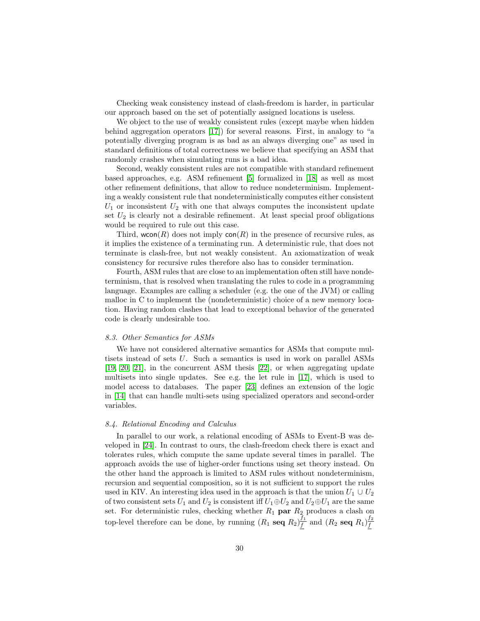Checking weak consistency instead of clash-freedom is harder, in particular our approach based on the set of potentially assigned locations is useless.

We object to the use of weakly consistent rules (except maybe when hidden behind aggregation operators [\[17\]](#page-32-13)) for several reasons. First, in analogy to "a potentially diverging program is as bad as an always diverging one" as used in standard definitions of total correctness we believe that specifying an ASM that randomly crashes when simulating runs is a bad idea.

Second, weakly consistent rules are not compatible with standard refinement based approaches, e.g. ASM refinement [\[5\]](#page-32-1) formalized in [\[18\]](#page-32-14) as well as most other refinement definitions, that allow to reduce nondeterminism. Implementing a weakly consistent rule that nondeterministically computes either consistent  $U_1$  or inconsistent  $U_2$  with one that always computes the inconsistent update set  $U_2$  is clearly not a desirable refinement. At least special proof obligations would be required to rule out this case.

Third, wcon(R) does not imply  $con(R)$  in the presence of recursive rules, as it implies the existence of a terminating run. A deterministic rule, that does not terminate is clash-free, but not weakly consistent. An axiomatization of weak consistency for recursive rules therefore also has to consider termination.

Fourth, ASM rules that are close to an implementation often still have nondeterminism, that is resolved when translating the rules to code in a programming language. Examples are calling a scheduler (e.g. the one of the JVM) or calling malloc in C to implement the (nondeterministic) choice of a new memory location. Having random clashes that lead to exceptional behavior of the generated code is clearly undesirable too.

#### 8.3. Other Semantics for ASMs

We have not considered alternative semantics for ASMs that compute multisets instead of sets U. Such a semantics is used in work on parallel ASMs [\[19,](#page-33-0) [20,](#page-33-1) [21\]](#page-33-2), in the concurrent ASM thesis [\[22\]](#page-33-3), or when aggregating update multisets into single updates. See e.g. the let rule in [\[17\]](#page-32-13), which is used to model access to databases. The paper [\[23\]](#page-33-4) defines an extension of the logic in [\[14\]](#page-32-9) that can handle multi-sets using specialized operators and second-order variables.

#### 8.4. Relational Encoding and Calculus

In parallel to our work, a relational encoding of ASMs to Event-B was developed in [\[24\]](#page-33-5). In contrast to ours, the clash-freedom check there is exact and tolerates rules, which compute the same update several times in parallel. The approach avoids the use of higher-order functions using set theory instead. On the other hand the approach is limited to ASM rules without nondeterminism, recursion and sequential composition, so it is not sufficient to support the rules used in KIV. An interesting idea used in the approach is that the union  $U_1 \cup U_2$ of two consistent sets  $U_1$  and  $U_2$  is consistent iff  $U_1 \oplus U_2$  and  $U_2 \oplus U_1$  are the same set. For deterministic rules, checking whether  $R_1$  par  $R_2$  produces a clash on top-level therefore can be done, by running  $(R_1 \text{ seq } R_2) \frac{f_1}{f_1}$  $\frac{f_1}{f}$  and  $(R_2 \text{ seq } R_1) \frac{f_2}{f}$ f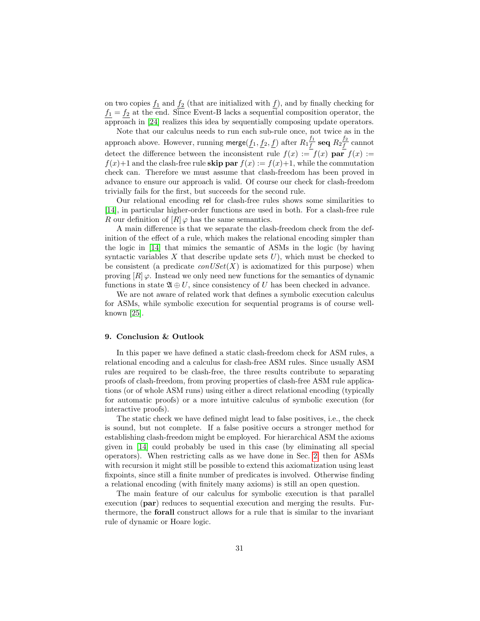on two copies  $f_1$  and  $f_2$  (that are initialized with f), and by finally checking for  $f_1 = f_2$  at the end. Since Event-B lacks a sequential composition operator, the approach in [\[24\]](#page-33-5) realizes this idea by sequentially composing update operators.

Note that our calculus needs to run each sub-rule once, not twice as in the approach above. However, running merge $(f_1, f_2, f)$  after  $R_1 \frac{f_1}{f_1}$  $\frac{f_1}{f}$  seq  $R_2 \frac{f_2}{f}$  $\frac{f^2}{f}$  cannot detect the difference between the inconsistent rule  $f(x) := f(x)$  par  $f(x) :=$  $f(x)+1$  and the clash-free rule **skip par**  $f(x) := f(x)+1$ , while the commutation check can. Therefore we must assume that clash-freedom has been proved in advance to ensure our approach is valid. Of course our check for clash-freedom trivially fails for the first, but succeeds for the second rule.

Our relational encoding rel for clash-free rules shows some similarities to [\[14\]](#page-32-9), in particular higher-order functions are used in both. For a clash-free rule R our definition of  $[R] \varphi$  has the same semantics.

A main difference is that we separate the clash-freedom check from the definition of the effect of a rule, which makes the relational encoding simpler than the logic in [\[14\]](#page-32-9) that mimics the semantic of ASMs in the logic (by having syntactic variables X that describe update sets  $U$ ), which must be checked to be consistent (a predicate  $conUSet(X)$  is axiomatized for this purpose) when proving  $[R] \varphi$ . Instead we only need new functions for the semantics of dynamic functions in state  $\mathfrak{A} \oplus U$ , since consistency of U has been checked in advance.

We are not aware of related work that defines a symbolic execution calculus for ASMs, while symbolic execution for sequential programs is of course wellknown [\[25\]](#page-33-6).

#### <span id="page-30-0"></span>9. Conclusion & Outlook

In this paper we have defined a static clash-freedom check for ASM rules, a relational encoding and a calculus for clash-free ASM rules. Since usually ASM rules are required to be clash-free, the three results contribute to separating proofs of clash-freedom, from proving properties of clash-free ASM rule applications (or of whole ASM runs) using either a direct relational encoding (typically for automatic proofs) or a more intuitive calculus of symbolic execution (for interactive proofs).

The static check we have defined might lead to false positives, i.e., the check is sound, but not complete. If a false positive occurs a stronger method for establishing clash-freedom might be employed. For hierarchical ASM the axioms given in [\[14\]](#page-32-9) could probably be used in this case (by eliminating all special operators). When restricting calls as we have done in Sec. [2,](#page-2-0) then for ASMs with recursion it might still be possible to extend this axiomatization using least fixpoints, since still a finite number of predicates is involved. Otherwise finding a relational encoding (with finitely many axioms) is still an open question.

The main feature of our calculus for symbolic execution is that parallel execution (par) reduces to sequential execution and merging the results. Furthermore, the forall construct allows for a rule that is similar to the invariant rule of dynamic or Hoare logic.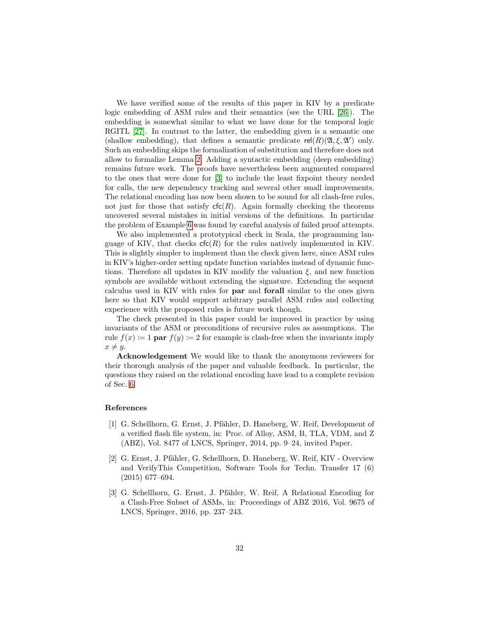We have verified some of the results of this paper in KIV by a predicate logic embedding of ASM rules and their semantics (see the URL [\[26\]](#page-33-7)). The embedding is somewhat similar to what we have done for the temporal logic RGITL [\[27\]](#page-33-8). In contrast to the latter, the embedding given is a semantic one (shallow embedding), that defines a semantic predicate  $rel(R)(\mathfrak{A}, \xi, \mathfrak{A}')$  only. Such an embedding skips the formalization of substitution and therefore does not allow to formalize Lemma [2.](#page-7-1) Adding a syntactic embedding (deep embedding) remains future work. The proofs have nevertheless been augmented compared to the ones that were done for [\[3\]](#page-31-2) to include the least fixpoint theory needed for calls, the new dependency tracking and several other small improvements. The relational encoding has now been shown to be sound for all clash-free rules, not just for those that satisfy  $\mathsf{cfc}(R)$ . Again formally checking the theorems uncovered several mistakes in initial versions of the definitions. In particular the problem of Example [6](#page-12-0) was found by careful analysis of failed proof attempts.

We also implemented a prototypical check in Scala, the programming language of KIV, that checks  $\mathsf{cfc}(R)$  for the rules natively implemented in KIV. This is slightly simpler to implement than the check given here, since ASM rules in KIV's higher-order setting update function variables instead of dynamic functions. Therefore all updates in KIV modify the valuation  $\xi$ , and new function symbols are available without extending the signature. Extending the sequent calculus used in KIV with rules for par and forall similar to the ones given here so that KIV would support arbitrary parallel ASM rules and collecting experience with the proposed rules is future work though.

The check presented in this paper could be improved in practice by using invariants of the ASM or preconditions of recursive rules as assumptions. The rule  $f(x) := 1$  par  $f(y) := 2$  for example is clash-free when the invariants imply  $x \neq y$ .

Acknowledgement We would like to thank the anonymous reviewers for their thorough analysis of the paper and valuable feedback. In particular, the questions they raised on the relational encoding have lead to a complete revision of Sec. [6.](#page-19-0)

#### References

- <span id="page-31-0"></span>[1] G. Schellhorn, G. Ernst, J. Pfähler, D. Haneberg, W. Reif, Development of a verified flash file system, in: Proc. of Alloy, ASM, B, TLA, VDM, and Z (ABZ), Vol. 8477 of LNCS, Springer, 2014, pp. 9–24, invited Paper.
- <span id="page-31-1"></span>[2] G. Ernst, J. Pfähler, G. Schellhorn, D. Haneberg, W. Reif, KIV - Overview and VerifyThis Competition, Software Tools for Techn. Transfer 17 (6) (2015) 677–694.
- <span id="page-31-2"></span>[3] G. Schellhorn, G. Ernst, J. Pfähler, W. Reif, A Relational Encoding for a Clash-Free Subset of ASMs, in: Proceedings of ABZ 2016, Vol. 9675 of LNCS, Springer, 2016, pp. 237–243.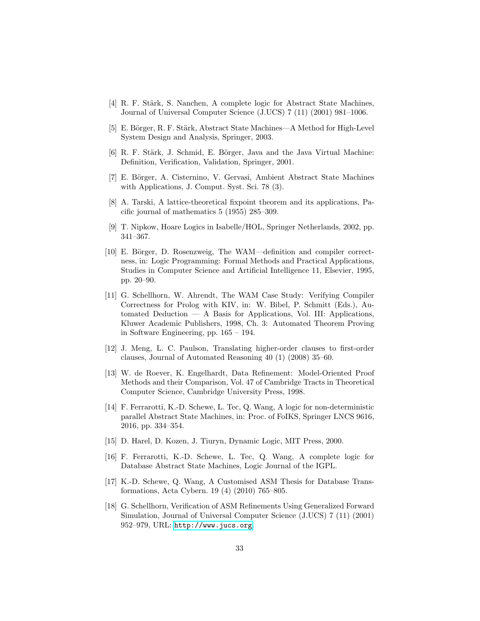- <span id="page-32-0"></span>[4] R. F. Stärk, S. Nanchen, A complete logic for Abstract State Machines, Journal of Universal Computer Science (J.UCS) 7 (11) (2001) 981–1006.
- <span id="page-32-1"></span>[5] E. Börger, R. F. Stärk, Abstract State Machines—A Method for High-Level System Design and Analysis, Springer, 2003.
- <span id="page-32-2"></span>[6] R. F. Stärk, J. Schmid, E. Börger, Java and the Java Virtual Machine: Definition, Verification, Validation, Springer, 2001.
- <span id="page-32-3"></span>[7] E. Börger, A. Cisternino, V. Gervasi, Ambient Abstract State Machines with Applications, J. Comput. Syst. Sci. 78 (3).
- <span id="page-32-4"></span>[8] A. Tarski, A lattice-theoretical fixpoint theorem and its applications, Pacific journal of mathematics 5 (1955) 285–309.
- <span id="page-32-5"></span>[9] T. Nipkow, Hoare Logics in Isabelle/HOL, Springer Netherlands, 2002, pp. 341–367.
- <span id="page-32-6"></span>[10] E. Börger, D. Rosenzweig, The WAM—definition and compiler correctness, in: Logic Programming: Formal Methods and Practical Applications, Studies in Computer Science and Artificial Intelligence 11, Elsevier, 1995, pp. 20–90.
- <span id="page-32-7"></span>[11] G. Schellhorn, W. Ahrendt, The WAM Case Study: Verifying Compiler Correctness for Prolog with KIV, in: W. Bibel, P. Schmitt (Eds.), Automated Deduction — A Basis for Applications, Vol. III: Applications, Kluwer Academic Publishers, 1998, Ch. 3: Automated Theorem Proving in Software Engineering, pp. 165 – 194.
- <span id="page-32-8"></span>[12] J. Meng, L. C. Paulson, Translating higher-order clauses to first-order clauses, Journal of Automated Reasoning 40 (1) (2008) 35–60.
- <span id="page-32-10"></span>[13] W. de Roever, K. Engelhardt, Data Refinement: Model-Oriented Proof Methods and their Comparison, Vol. 47 of Cambridge Tracts in Theoretical Computer Science, Cambridge University Press, 1998.
- <span id="page-32-9"></span>[14] F. Ferrarotti, K.-D. Schewe, L. Tec, Q. Wang, A logic for non-deterministic parallel Abstract State Machines, in: Proc. of FoIKS, Springer LNCS 9616, 2016, pp. 334–354.
- <span id="page-32-11"></span>[15] D. Harel, D. Kozen, J. Tiuryn, Dynamic Logic, MIT Press, 2000.
- <span id="page-32-12"></span>[16] F. Ferrarotti, K.-D. Schewe, L. Tec, Q. Wang, A complete logic for Database Abstract State Machines, Logic Journal of the IGPL.
- <span id="page-32-13"></span>[17] K.-D. Schewe, Q. Wang, A Customised ASM Thesis for Database Transformations, Acta Cybern. 19 (4) (2010) 765–805.
- <span id="page-32-14"></span>[18] G. Schellhorn, Verification of ASM Refinements Using Generalized Forward Simulation, Journal of Universal Computer Science (J.UCS) 7 (11) (2001) 952–979, URL: <http://www.jucs.org>.